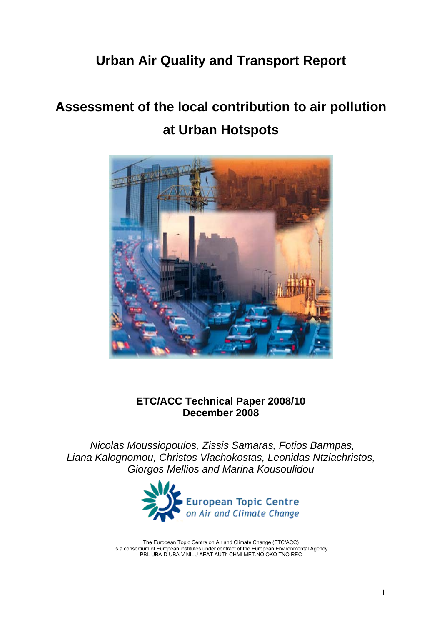## **Urban Air Quality and Transport Report**

# **Assessment of the local contribution to air pollution at Urban Hotspots**



## **ETC/ACC Technical Paper 2008/10 December 2008**

 *Nicolas Moussiopoulos, Zissis Samaras, Fotios Barmpas, Liana Kalognomou, Christos Vlachokostas, Leonidas Ntziachristos, Giorgos Mellios and Marina Kousoulidou* 



The European Topic Centre on Air and Climate Change (ETC/ACC) is a consortium of European institutes under contract of the European Environmental Agency PBL UBA-D UBA-V NILU AEAT AUTh CHMI MET.NO ÖKO TNO REC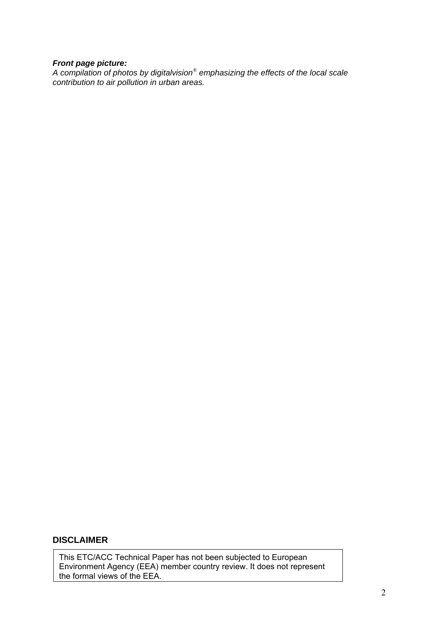#### *Front page picture:*

*A compilation of photos by digitalvision® emphasizing the effects of the local scale contribution to air pollution in urban areas.*

## **DISCLAIMER**

This ETC/ACC Technical Paper has not been subjected to European Environment Agency (EEA) member country review. It does not represent the formal views of the EEA.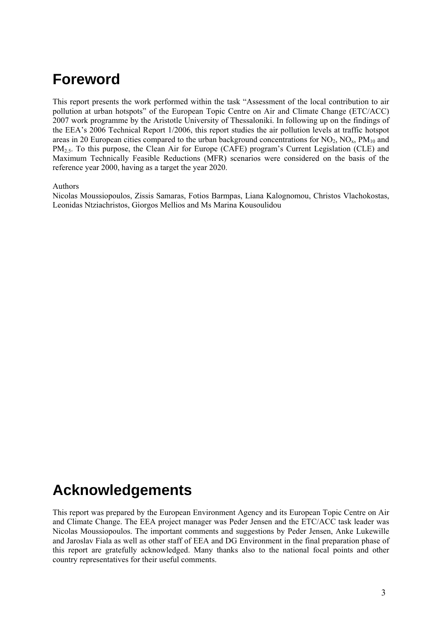## **Foreword**

This report presents the work performed within the task "Assessment of the local contribution to air pollution at urban hotspots" of the European Topic Centre on Air and Climate Change (ETC/ACC) 2007 work programme by the Aristotle University of Thessaloniki. In following up on the findings of the EEA's 2006 Technical Report 1/2006, this report studies the air pollution levels at traffic hotspot areas in 20 European cities compared to the urban background concentrations for  $NO_2$ ,  $NO_x$ ,  $PM_{10}$  and PM<sub>2.5</sub>. To this purpose, the Clean Air for Europe (CAFE) program's Current Legislation (CLE) and Maximum Technically Feasible Reductions (MFR) scenarios were considered on the basis of the reference year 2000, having as a target the year 2020.

Authors

Nicolas Moussiopoulos, Zissis Samaras, Fotios Barmpas, Liana Kalognomou, Christos Vlachokostas, Leonidas Ntziachristos, Giorgos Mellios and Ms Marina Kousoulidou

## **Acknowledgements**

This report was prepared by the European Environment Agency and its European Topic Centre on Air and Climate Change. The EEA project manager was Peder Jensen and the ETC/ACC task leader was Nicolas Moussiopoulos. The important comments and suggestions by Peder Jensen, Anke Lukewille and Jaroslav Fiala as well as other staff of EEA and DG Environment in the final preparation phase of this report are gratefully acknowledged. Many thanks also to the national focal points and other country representatives for their useful comments.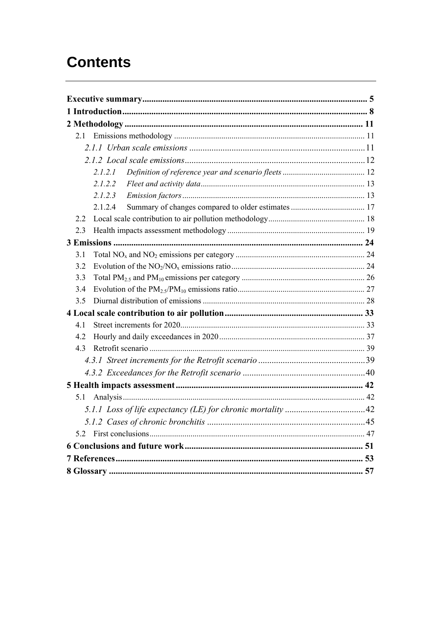## **Contents**

| 21      |
|---------|
|         |
|         |
| 2.1.2.1 |
| 2.1.2.2 |
| 2.1.2.3 |
| 2.1.2.4 |
| 2.2     |
| 2.3     |
|         |
| 3.1     |
| 3.2     |
| 3.3     |
| 3.4     |
| 3.5     |
|         |
| 41      |
| 4.2     |
| 4.3     |
|         |
|         |
|         |
| 5.1     |
|         |
|         |
| 5.2     |
|         |
|         |
|         |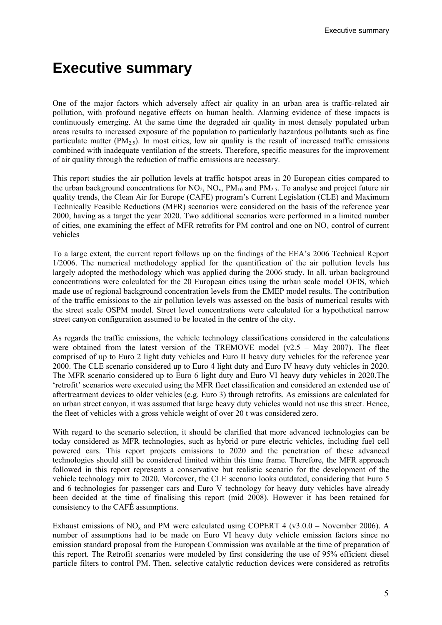## <span id="page-4-0"></span>**Executive summary**

One of the major factors which adversely affect air quality in an urban area is traffic-related air pollution, with profound negative effects on human health. Alarming evidence of these impacts is continuously emerging. At the same time the degraded air quality in most densely populated urban areas results to increased exposure of the population to particularly hazardous pollutants such as fine particulate matter ( $PM_{2.5}$ ). In most cities, low air quality is the result of increased traffic emissions combined with inadequate ventilation of the streets. Therefore, specific measures for the improvement of air quality through the reduction of traffic emissions are necessary.

This report studies the air pollution levels at traffic hotspot areas in 20 European cities compared to the urban background concentrations for  $NO_2$ ,  $NO_x$ ,  $PM_{10}$  and  $PM_{2.5}$ . To analyse and project future air quality trends, the Clean Air for Europe (CAFE) program's Current Legislation (CLE) and Maximum Technically Feasible Reductions (MFR) scenarios were considered on the basis of the reference year 2000, having as a target the year 2020. Two additional scenarios were performed in a limited number of cities, one examining the effect of MFR retrofits for PM control and one on NO<sub>x</sub> control of current vehicles

To a large extent, the current report follows up on the findings of the EEA's 2006 Technical Report 1/2006. The numerical methodology applied for the quantification of the air pollution levels has largely adopted the methodology which was applied during the 2006 study. In all, urban background concentrations were calculated for the 20 European cities using the urban scale model OFIS, which made use of regional background concentration levels from the EMEP model results. The contribution of the traffic emissions to the air pollution levels was assessed on the basis of numerical results with the street scale OSPM model. Street level concentrations were calculated for a hypothetical narrow street canyon configuration assumed to be located in the centre of the city.

As regards the traffic emissions, the vehicle technology classifications considered in the calculations were obtained from the latest version of the TREMOVE model ( $v2.5 - May 2007$ ). The fleet comprised of up to Euro 2 light duty vehicles and Euro II heavy duty vehicles for the reference year 2000. The CLE scenario considered up to Euro 4 light duty and Euro IV heavy duty vehicles in 2020. The MFR scenario considered up to Euro 6 light duty and Euro VI heavy duty vehicles in 2020.The 'retrofit' scenarios were executed using the MFR fleet classification and considered an extended use of aftertreatment devices to older vehicles (e.g. Euro 3) through retrofits. As emissions are calculated for an urban street canyon, it was assumed that large heavy duty vehicles would not use this street. Hence, the fleet of vehicles with a gross vehicle weight of over 20 t was considered zero.

With regard to the scenario selection, it should be clarified that more advanced technologies can be today considered as MFR technologies, such as hybrid or pure electric vehicles, including fuel cell powered cars. This report projects emissions to 2020 and the penetration of these advanced technologies should still be considered limited within this time frame. Therefore, the MFR approach followed in this report represents a conservative but realistic scenario for the development of the vehicle technology mix to 2020. Moreover, the CLE scenario looks outdated, considering that Euro 5 and 6 technologies for passenger cars and Euro V technology for heavy duty vehicles have already been decided at the time of finalising this report (mid 2008). However it has been retained for consistency to the CAFÉ assumptions.

Exhaust emissions of  $NO_x$  and PM were calculated using COPERT 4 (v3.0.0 – November 2006). A number of assumptions had to be made on Euro VI heavy duty vehicle emission factors since no emission standard proposal from the European Commission was available at the time of preparation of this report. The Retrofit scenarios were modeled by first considering the use of 95% efficient diesel particle filters to control PM. Then, selective catalytic reduction devices were considered as retrofits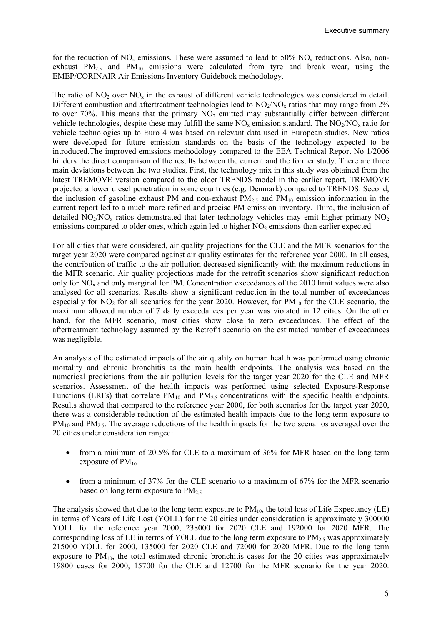for the reduction of  $NO_x$  emissions. These were assumed to lead to 50%  $NO_x$  reductions. Also, nonexhaust  $PM_{2.5}$  and  $PM_{10}$  emissions were calculated from tyre and break wear, using the EMEP/CORINAIR Air Emissions Inventory Guidebook methodology.

The ratio of  $NO<sub>2</sub>$  over  $NO<sub>x</sub>$  in the exhaust of different vehicle technologies was considered in detail. Different combustion and aftertreatment technologies lead to  $NO<sub>2</sub>/NO<sub>x</sub>$  ratios that may range from 2% to over 70%. This means that the primary  $NO<sub>2</sub>$  emitted may substantially differ between different vehicle technologies, despite these may fulfill the same  $NO_x$  emission standard. The  $NO_2/NO_x$  ratio for vehicle technologies up to Euro 4 was based on relevant data used in European studies. New ratios were developed for future emission standards on the basis of the technology expected to be introduced.The improved emissions methodology compared to the EEA Technical Report No 1/2006 hinders the direct comparison of the results between the current and the former study. There are three main deviations between the two studies. First, the technology mix in this study was obtained from the latest TREMOVE version compared to the older TRENDS model in the earlier report. TREMOVE projected a lower diesel penetration in some countries (e.g. Denmark) compared to TRENDS. Second, the inclusion of gasoline exhaust PM and non-exhaust  $PM_{2.5}$  and  $PM_{10}$  emission information in the current report led to a much more refined and precise PM emission inventory. Third, the inclusion of detailed  $NO<sub>2</sub>/NO<sub>x</sub>$  ratios demonstrated that later technology vehicles may emit higher primary  $NO<sub>2</sub>$ emissions compared to older ones, which again led to higher  $NO<sub>2</sub>$  emissions than earlier expected.

For all cities that were considered, air quality projections for the CLE and the MFR scenarios for the target year 2020 were compared against air quality estimates for the reference year 2000. In all cases, the contribution of traffic to the air pollution decreased significantly with the maximum reductions in the MFR scenario. Air quality projections made for the retrofit scenarios show significant reduction only for NOx and only marginal for PM. Concentration exceedances of the 2010 limit values were also analysed for all scenarios. Results show a significant reduction in the total number of exceedances especially for NO<sub>2</sub> for all scenarios for the year 2020. However, for  $PM_{10}$  for the CLE scenario, the maximum allowed number of 7 daily exceedances per year was violated in 12 cities. On the other hand, for the MFR scenario, most cities show close to zero exceedances. The effect of the aftertreatment technology assumed by the Retrofit scenario on the estimated number of exceedances was negligible.

An analysis of the estimated impacts of the air quality on human health was performed using chronic mortality and chronic bronchitis as the main health endpoints. The analysis was based on the numerical predictions from the air pollution levels for the target year 2020 for the CLE and MFR scenarios. Assessment of the health impacts was performed using selected Exposure-Response Functions (ERFs) that correlate  $PM_{10}$  and  $PM_{2.5}$  concentrations with the specific health endpoints. Results showed that compared to the reference year 2000, for both scenarios for the target year 2020, there was a considerable reduction of the estimated health impacts due to the long term exposure to  $PM_{10}$  and  $PM_{2.5}$ . The average reductions of the health impacts for the two scenarios averaged over the 20 cities under consideration ranged:

- from a minimum of 20.5% for CLE to a maximum of 36% for MFR based on the long term exposure of  $PM_{10}$
- from a minimum of 37% for the CLE scenario to a maximum of 67% for the MFR scenario based on long term exposure to  $PM_{2.5}$

The analysis showed that due to the long term exposure to  $PM_{10}$ , the total loss of Life Expectancy (LE) in terms of Years of Life Lost (YOLL) for the 20 cities under consideration is approximately 300000 YOLL for the reference year 2000, 238000 for 2020 CLE and 192000 for 2020 MFR. The corresponding loss of LE in terms of YOLL due to the long term exposure to  $PM<sub>2.5</sub>$  was approximately 215000 YOLL for 2000, 135000 for 2020 CLE and 72000 for 2020 MFR. Due to the long term exposure to  $PM_{10}$ , the total estimated chronic bronchitis cases for the 20 cities was approximately 19800 cases for 2000, 15700 for the CLE and 12700 for the MFR scenario for the year 2020.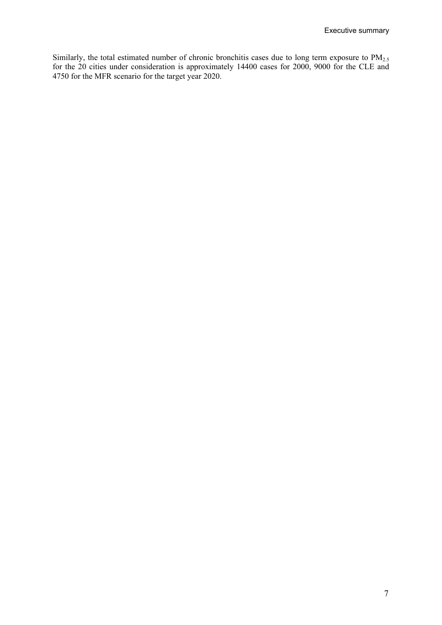Similarly, the total estimated number of chronic bronchitis cases due to long term exposure to  $PM_{2.5}$ for the 20 cities under consideration is approximately 14400 cases for 2000, 9000 for the CLE and 4750 for the MFR scenario for the target year 2020.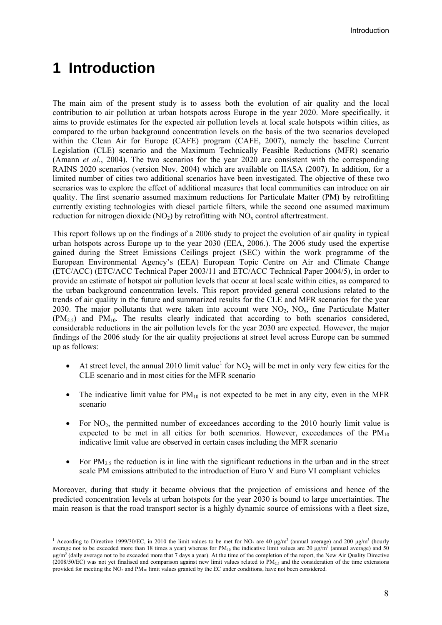## <span id="page-7-0"></span>**1 Introduction**

1

The main aim of the present study is to assess both the evolution of air quality and the local contribution to air pollution at urban hotspots across Europe in the year 2020. More specifically, it aims to provide estimates for the expected air pollution levels at local scale hotspots within cities, as compared to the urban background concentration levels on the basis of the two scenarios developed within the Clean Air for Europe (CAFE) program (CAFE, 2007), namely the baseline Current Legislation (CLE) scenario and the Maximum Technically Feasible Reductions (MFR) scenario (Amann *et al.*, 2004). The two scenarios for the year 2020 are consistent with the corresponding RAINS 2020 scenarios (version Nov. 2004) which are available on IIASA (2007). In addition, for a limited number of cities two additional scenarios have been investigated. The objective of these two scenarios was to explore the effect of additional measures that local communities can introduce on air quality. The first scenario assumed maximum reductions for Particulate Matter (PM) by retrofitting currently existing technologies with diesel particle filters, while the second one assumed maximum reduction for nitrogen dioxide  $(NO_2)$  by retrofitting with  $NO<sub>x</sub>$  control aftertreatment.

This report follows up on the findings of a 2006 study to project the evolution of air quality in typical urban hotspots across Europe up to the year 2030 (EEA, 2006.). The 2006 study used the expertise gained during the Street Emissions Ceilings project (SEC) within the work programme of the European Environmental Agency's (EEA) European Topic Centre on Air and Climate Change (ETC/ACC) (ETC/ACC Technical Paper 2003/11 and ETC/ACC Technical Paper 2004/5), in order to provide an estimate of hotspot air pollution levels that occur at local scale within cities, as compared to the urban background concentration levels. This report provided general conclusions related to the trends of air quality in the future and summarized results for the CLE and MFR scenarios for the year 2030. The major pollutants that were taken into account were  $NO<sub>2</sub>$ ,  $NO<sub>x</sub>$ , fine Particulate Matter  $(PM_{2.5})$  and  $PM_{10}$ . The results clearly indicated that according to both scenarios considered, considerable reductions in the air pollution levels for the year 2030 are expected. However, the major findings of the 2006 study for the air quality projections at street level across Europe can be summed up as follows:

- At street level, the annual 20[1](#page-7-1)0 limit value<sup>1</sup> for  $NO<sub>2</sub>$  will be met in only very few cities for the CLE scenario and in most cities for the MFR scenario
- The indicative limit value for  $PM_{10}$  is not expected to be met in any city, even in the MFR scenario
- For  $NO<sub>2</sub>$ , the permitted number of exceedances according to the 2010 hourly limit value is expected to be met in all cities for both scenarios. However, exceedances of the  $PM_{10}$ indicative limit value are observed in certain cases including the MFR scenario
- For  $PM_{2.5}$  the reduction is in line with the significant reductions in the urban and in the street scale PM emissions attributed to the introduction of Euro V and Euro VI compliant vehicles

Moreover, during that study it became obvious that the projection of emissions and hence of the predicted concentration levels at urban hotspots for the year 2030 is bound to large uncertainties. The main reason is that the road transport sector is a highly dynamic source of emissions with a fleet size,

<span id="page-7-1"></span><sup>&</sup>lt;sup>1</sup> According to Directive 1999/30/EC, in 2010 the limit values to be met for NO<sub>2</sub> are 40  $\mu$ g/m<sup>3</sup> (annual average) and 200  $\mu$ g/m<sup>3</sup> (hourly average not to be exceeded more than 18 times a year) whereas for  $PM_{10}$  the indicative limit values are 20  $\mu g/m^3$  (annual average) and 50 μg/m<sup>3</sup> (daily average not to be exceeded more that 7 days a year). At the time of the completion of the report, the New Air Quality Directive (2008/50/EC) was not yet finalised and comparison against new limit values related to  $PM<sub>25</sub>$  and the consideration of the time extensions provided for meeting the  $NO<sub>2</sub>$  and  $PM<sub>10</sub>$  limit values granted by the EC under conditions, have not been considered.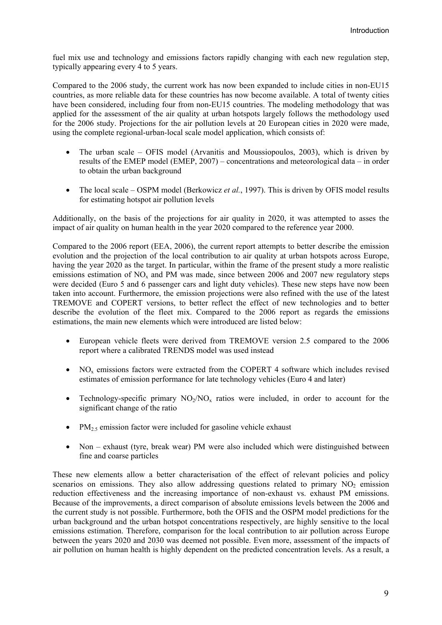fuel mix use and technology and emissions factors rapidly changing with each new regulation step, typically appearing every 4 to 5 years.

Compared to the 2006 study, the current work has now been expanded to include cities in non-EU15 countries, as more reliable data for these countries has now become available. A total of twenty cities have been considered, including four from non-EU15 countries. The modeling methodology that was applied for the assessment of the air quality at urban hotspots largely follows the methodology used for the 2006 study. Projections for the air pollution levels at 20 European cities in 2020 were made, using the complete regional-urban-local scale model application, which consists of:

- The urban scale OFIS model (Arvanitis and Moussiopoulos, 2003), which is driven by results of the EMEP model (EMEP, 2007) – concentrations and meteorological data – in order to obtain the urban background
- The local scale OSPM model (Berkowicz *et al.*, 1997). This is driven by OFIS model results for estimating hotspot air pollution levels

Additionally, on the basis of the projections for air quality in 2020, it was attempted to asses the impact of air quality on human health in the year 2020 compared to the reference year 2000.

Compared to the 2006 report (ΕΕΑ, 2006), the current report attempts to better describe the emission evolution and the projection of the local contribution to air quality at urban hotspots across Europe, having the year 2020 as the target. In particular, within the frame of the present study a more realistic emissions estimation of  $NO<sub>x</sub>$  and PM was made, since between 2006 and 2007 new regulatory steps were decided (Euro 5 and 6 passenger cars and light duty vehicles). These new steps have now been taken into account. Furthermore, the emission projections were also refined with the use of the latest TREMOVE and COPERT versions, to better reflect the effect of new technologies and to better describe the evolution of the fleet mix. Compared to the 2006 report as regards the emissions estimations, the main new elements which were introduced are listed below:

- European vehicle fleets were derived from TREMOVE version 2.5 compared to the 2006 report where a calibrated TRENDS model was used instead
- NO<sub>x</sub> emissions factors were extracted from the COPERT 4 software which includes revised estimates of emission performance for late technology vehicles (Euro 4 and later)
- Technology-specific primary  $NO<sub>2</sub>/NO<sub>x</sub>$  ratios were included, in order to account for the significant change of the ratio
- PM<sub>2.5</sub> emission factor were included for gasoline vehicle exhaust
- Non exhaust (tyre, break wear) PM were also included which were distinguished between fine and coarse particles

These new elements allow a better characterisation of the effect of relevant policies and policy scenarios on emissions. They also allow addressing questions related to primary  $NO<sub>2</sub>$  emission reduction effectiveness and the increasing importance of non-exhaust vs. exhaust PM emissions. Because of the improvements, a direct comparison of absolute emissions levels between the 2006 and the current study is not possible. Furthermore, both the OFIS and the OSPM model predictions for the urban background and the urban hotspot concentrations respectively, are highly sensitive to the local emissions estimation. Therefore, comparison for the local contribution to air pollution across Europe between the years 2020 and 2030 was deemed not possible. Even more, assessment of the impacts of air pollution on human health is highly dependent on the predicted concentration levels. As a result, a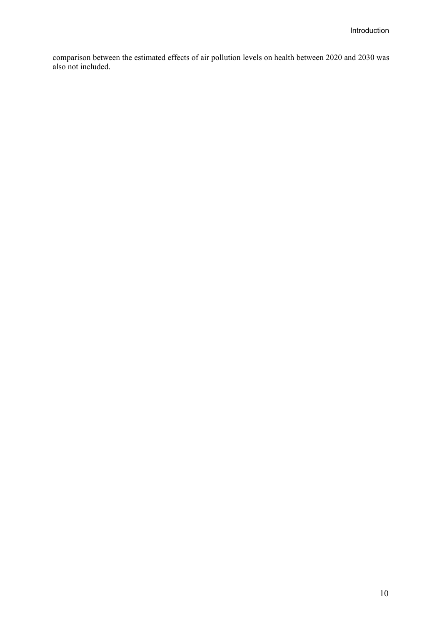comparison between the estimated effects of air pollution levels on health between 2020 and 2030 was also not included.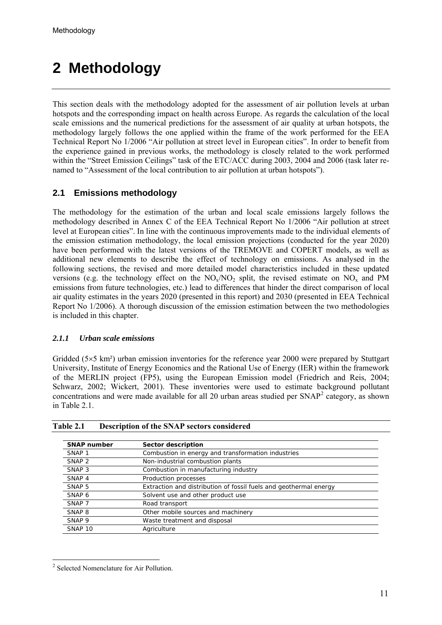# <span id="page-10-0"></span>**2 Methodology**

This section deals with the methodology adopted for the assessment of air pollution levels at urban hotspots and the corresponding impact on health across Europe. As regards the calculation of the local scale emissions and the numerical predictions for the assessment of air quality at urban hotspots, the methodology largely follows the one applied within the frame of the work performed for the EEA Technical Report No 1/2006 "Air pollution at street level in European cities". In order to benefit from the experience gained in previous works, the methodology is closely related to the work performed within the "Street Emission Ceilings" task of the ETC/ACC during 2003, 2004 and 2006 (task later renamed to "Assessment of the local contribution to air pollution at urban hotspots").

## **2.1 Emissions methodology**

The methodology for the estimation of the urban and local scale emissions largely follows the methodology described in Annex C of the EEA Technical Report No 1/2006 "Air pollution at street level at European cities". In line with the continuous improvements made to the individual elements of the emission estimation methodology, the local emission projections (conducted for the year 2020) have been performed with the latest versions of the TREMOVE and COPERT models, as well as additional new elements to describe the effect of technology on emissions. As analysed in the following sections, the revised and more detailed model characteristics included in these updated versions (e.g. the technology effect on the  $NO_x/NO_2$  split, the revised estimate on  $NO_x$  and PM emissions from future technologies, etc.) lead to differences that hinder the direct comparison of local air quality estimates in the years 2020 (presented in this report) and 2030 (presented in EEA Technical Report No 1/2006). A thorough discussion of the emission estimation between the two methodologies is included in this chapter.

## *2.1.1 Urban scale emissions*

Gridded (5×5 km<sup>2</sup>) urban emission inventories for the reference year 2000 were prepared by Stuttgart University, Institute of Energy Economics and the Rational Use of Energy (IER) within the framework of the MERLIN project (FP5), using the European Emission model (Friedrich and Reis, 2004; Schwarz, 2002; Wickert, 2001). These inventories were used to estimate background pollutant concentrations and were made available for all [2](#page-10-1)0 urban areas studied per  $SNAP<sup>2</sup>$  category, as shown in Table 2.1.

| <b>SNAP number</b> | Sector description                                                |
|--------------------|-------------------------------------------------------------------|
| SNAP <sub>1</sub>  | Combustion in energy and transformation industries                |
| SNAP <sub>2</sub>  | Non-industrial combustion plants                                  |
| SNAP <sub>3</sub>  | Combustion in manufacturing industry                              |
| SNAP <sub>4</sub>  | Production processes                                              |
| SNAP <sub>5</sub>  | Extraction and distribution of fossil fuels and geothermal energy |
| SNAP 6             | Solvent use and other product use                                 |
| SNAP <sub>7</sub>  | Road transport                                                    |
| SNAP <sub>8</sub>  | Other mobile sources and machinery                                |
| SNAP <sub>9</sub>  | Waste treatment and disposal                                      |
| SNAP <sub>10</sub> | Agriculture                                                       |

<span id="page-10-1"></span><sup>1</sup> <sup>2</sup> Selected Nomenclature for Air Pollution.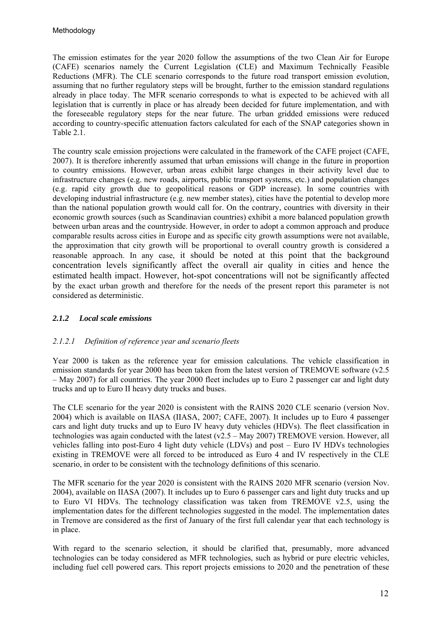<span id="page-11-0"></span>The emission estimates for the year 2020 follow the assumptions of the two Clean Air for Europe (CAFE) scenarios namely the Current Legislation (CLE) and Maximum Technically Feasible Reductions (MFR). The CLE scenario corresponds to the future road transport emission evolution, assuming that no further regulatory steps will be brought, further to the emission standard regulations already in place today. The MFR scenario corresponds to what is expected to be achieved with all legislation that is currently in place or has already been decided for future implementation, and with the foreseeable regulatory steps for the near future. The urban gridded emissions were reduced according to country-specific attenuation factors calculated for each of the SNAP categories shown in [Table 2](#page-10-0).1.

The country scale emission projections were calculated in the framework of the CAFE project (CAFE, 2007). It is therefore inherently assumed that urban emissions will change in the future in proportion to country emissions. However, urban areas exhibit large changes in their activity level due to infrastructure changes (e.g. new roads, airports, public transport systems, etc.) and population changes (e.g. rapid city growth due to geopolitical reasons or GDP increase). In some countries with developing industrial infrastructure (e.g. new member states), cities have the potential to develop more than the national population growth would call for. On the contrary, countries with diversity in their economic growth sources (such as Scandinavian countries) exhibit a more balanced population growth between urban areas and the countryside. However, in order to adopt a common approach and produce comparable results across cities in Europe and as specific city growth assumptions were not available, the approximation that city growth will be proportional to overall country growth is considered a reasonable approach. In any case, it should be noted at this point that the background concentration levels significantly affect the overall air quality in cities and hence the estimated health impact. However, hot-spot concentrations will not be significantly affected by the exact urban growth and therefore for the needs of the present report this parameter is not considered as deterministic.

## *2.1.2 Local scale emissions*

## *2.1.2.1 Definition of reference year and scenario fleets*

Year 2000 is taken as the reference year for emission calculations. The vehicle classification in emission standards for year 2000 has been taken from the latest version of TREMOVE software (v2.5 – May 2007) for all countries. The year 2000 fleet includes up to Euro 2 passenger car and light duty trucks and up to Euro II heavy duty trucks and buses.

The CLE scenario for the year 2020 is consistent with the RAINS 2020 CLE scenario (version Nov. 2004) which is available on IIASA (IIASA, 2007; CAFE, 2007). It includes up to Euro 4 passenger cars and light duty trucks and up to Euro IV heavy duty vehicles (HDVs). The fleet classification in technologies was again conducted with the latest (v2.5 – May 2007) TREMOVE version. However, all vehicles falling into post-Euro 4 light duty vehicle (LDVs) and post – Euro IV HDVs technologies existing in TREMOVE were all forced to be introduced as Euro 4 and IV respectively in the CLE scenario, in order to be consistent with the technology definitions of this scenario.

The MFR scenario for the year 2020 is consistent with the RAINS 2020 MFR scenario (version Nov. 2004), available on IIASA (2007). It includes up to Euro 6 passenger cars and light duty trucks and up to Euro VI HDVs. The technology classification was taken from TREMOVE v2.5, using the implementation dates for the different technologies suggested in the model. The implementation dates in Tremove are considered as the first of January of the first full calendar year that each technology is in place.

With regard to the scenario selection, it should be clarified that, presumably, more advanced technologies can be today considered as MFR technologies, such as hybrid or pure electric vehicles, including fuel cell powered cars. This report projects emissions to 2020 and the penetration of these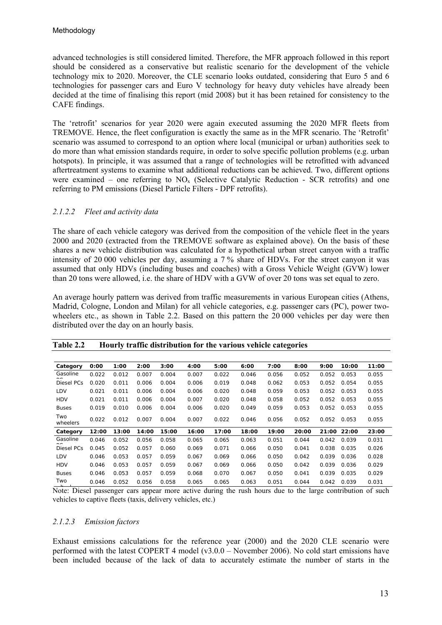<span id="page-12-0"></span>advanced technologies is still considered limited. Therefore, the MFR approach followed in this report should be considered as a conservative but realistic scenario for the development of the vehicle technology mix to 2020. Moreover, the CLE scenario looks outdated, considering that Euro 5 and 6 technologies for passenger cars and Euro V technology for heavy duty vehicles have already been decided at the time of finalising this report (mid 2008) but it has been retained for consistency to the CAFE findings.

The 'retrofit' scenarios for year 2020 were again executed assuming the 2020 MFR fleets from TREMOVE. Hence, the fleet configuration is exactly the same as in the MFR scenario. The 'Retrofit' scenario was assumed to correspond to an option where local (municipal or urban) authorities seek to do more than what emission standards require, in order to solve specific pollution problems (e.g. urban hotspots). In principle, it was assumed that a range of technologies will be retrofitted with advanced aftertreatment systems to examine what additional reductions can be achieved. Two, different options were examined – one referring to  $NO<sub>x</sub>$  (Selective Catalytic Reduction - SCR retrofits) and one referring to PM emissions (Diesel Particle Filters - DPF retrofits).

#### *2.1.2.2 Fleet and activity data*

The share of each vehicle category was derived from the composition of the vehicle fleet in the years 2000 and 2020 (extracted from the TREMOVE software as explained above). On the basis of these shares a new vehicle distribution was calculated for a hypothetical urban street canyon with a traffic intensity of 20 000 vehicles per day, assuming a 7 % share of HDVs. For the street canyon it was assumed that only HDVs (including buses and coaches) with a Gross Vehicle Weight (GVW) lower than 20 tons were allowed, i.e. the share of HDV with a GVW of over 20 tons was set equal to zero.

An average hourly pattern was derived from traffic measurements in various European cities (Athens, Madrid, Cologne, London and Milan) for all vehicle categories, e.g. passenger cars (PC), power twowheelers etc., as shown in Table 2.2. Based on this pattern the 20 000 vehicles per day were then distributed over the day on an hourly basis.

| Category        | 0:00  | 1:00  | 2:00  | 3:00  | 4:00  | 5:00  | 6:00  | 7:00  | 8:00  | 9:00  | 10:00 | 11:00 |
|-----------------|-------|-------|-------|-------|-------|-------|-------|-------|-------|-------|-------|-------|
| Gasoline        | 0.022 | 0.012 | 0.007 | 0.004 | 0.007 | 0.022 | 0.046 | 0.056 | 0.052 | 0.052 | 0.053 | 0.055 |
| Diesel PCs      | 0.020 | 0.011 | 0.006 | 0.004 | 0.006 | 0.019 | 0.048 | 0.062 | 0.053 | 0.052 | 0.054 | 0.055 |
| LDV             | 0.021 | 0.011 | 0.006 | 0.004 | 0.006 | 0.020 | 0.048 | 0.059 | 0.053 | 0.052 | 0.053 | 0.055 |
| <b>HDV</b>      | 0.021 | 0.011 | 0.006 | 0.004 | 0.007 | 0.020 | 0.048 | 0.058 | 0.052 | 0.052 | 0.053 | 0.055 |
| <b>Buses</b>    | 0.019 | 0.010 | 0.006 | 0.004 | 0.006 | 0.020 | 0.049 | 0.059 | 0.053 | 0.052 | 0.053 | 0.055 |
| Two<br>wheelers | 0.022 | 0.012 | 0.007 | 0.004 | 0.007 | 0.022 | 0.046 | 0.056 | 0.052 | 0.052 | 0.053 | 0.055 |
| Category        | 12:00 | 13:00 | 14:00 | 15:00 | 16:00 | 17:00 | 18:00 | 19:00 | 20:00 | 21:00 | 22:00 | 23:00 |
| Gasoline        | 0.046 | 0.052 | 0.056 | 0.058 | 0.065 | 0.065 | 0.063 | 0.051 | 0.044 | 0.042 | 0.039 | 0.031 |
| Diesel PCs      | 0.045 | 0.052 | 0.057 | 0.060 | 0.069 | 0.071 | 0.066 | 0.050 | 0.041 | 0.038 | 0.035 | 0.026 |
| LDV             | 0.046 | 0.053 | 0.057 | 0.059 | 0.067 | 0.069 | 0.066 | 0.050 | 0.042 | 0.039 | 0.036 | 0.028 |
| <b>HDV</b>      | 0.046 | 0.053 | 0.057 | 0.059 | 0.067 | 0.069 | 0.066 | 0.050 | 0.042 | 0.039 | 0.036 | 0.029 |
| <b>Buses</b>    | 0.046 | 0.053 | 0.057 | 0.059 | 0.068 | 0.070 | 0.067 | 0.050 | 0.041 | 0.039 | 0.035 | 0.029 |
| Two             | 0.046 | 0.052 | 0.056 | 0.058 | 0.065 | 0.065 | 0.063 | 0.051 | 0.044 | 0.042 | 0.039 | 0.031 |

| <b>Table 2.2</b> | Hourly traffic distribution for the various vehicle categories |  |  |  |
|------------------|----------------------------------------------------------------|--|--|--|
|                  |                                                                |  |  |  |

Note: Diesel passenger cars appear more active during the rush hours due to the large contribution of such vehicles to captive fleets (taxis, delivery vehicles, etc.)

#### *2.1.2.3 Emission factors*

Exhaust emissions calculations for the reference year (2000) and the 2020 CLE scenario were performed with the latest COPERT 4 model (v3.0.0 – November 2006). No cold start emissions have been included because of the lack of data to accurately estimate the number of starts in the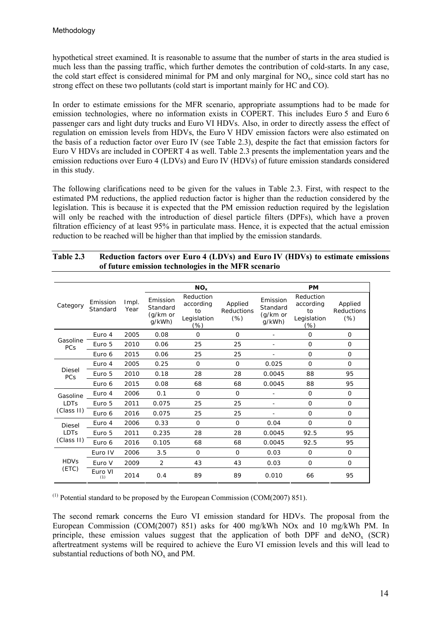hypothetical street examined. It is reasonable to assume that the number of starts in the area studied is much less than the passing traffic, which further demotes the contribution of cold-starts. In any case, the cold start effect is considered minimal for PM and only marginal for  $NO<sub>x</sub>$ , since cold start has no strong effect on these two pollutants (cold start is important mainly for HC and CO).

In order to estimate emissions for the MFR scenario, appropriate assumptions had to be made for emission technologies, where no information exists in COPERT. This includes Euro 5 and Euro 6 passenger cars and light duty trucks and Euro VI HDVs. Also, in order to directly assess the effect of regulation on emission levels from HDVs, the Euro V HDV emission factors were also estimated on the basis of a reduction factor over Euro IV (see Table 2.3), despite the fact that emission factors for Euro V HDVs are included in COPERT 4 as well. Table 2.3 presents the implementation years and the emission reductions over Euro 4 (LDVs) and Euro IV (HDVs) of future emission standards considered in this study.

The following clarifications need to be given for the values in Table 2.3. First, with respect to the estimated PM reductions, the applied reduction factor is higher than the reduction considered by the legislation. This is because it is expected that the PM emission reduction required by the legislation will only be reached with the introduction of diesel particle filters (DPFs), which have a proven filtration efficiency of at least 95% in particulate mass. Hence, it is expected that the actual emission reduction to be reached will be higher than that implied by the emission standards.

|                      |                      |               |                                            | NO <sub>x</sub>                                    |                                 |                                            | <b>PM</b>                                          |                                 |
|----------------------|----------------------|---------------|--------------------------------------------|----------------------------------------------------|---------------------------------|--------------------------------------------|----------------------------------------------------|---------------------------------|
| Category             | Emission<br>Standard | Impl.<br>Year | Emission<br>Standard<br>(g/km or<br>q/kWh) | Reduction<br>according<br>to<br>Legislation<br>(%) | Applied<br>Reductions<br>$(\%)$ | Emission<br>Standard<br>(g/km or<br>g/kWh) | Reduction<br>according<br>to<br>Legislation<br>(%) | Applied<br>Reductions<br>$(\%)$ |
|                      | Euro 4               | 2005          | 0.08                                       | $\Omega$                                           | $\Omega$                        |                                            | $\Omega$                                           | $\Omega$                        |
| Gasoline<br>PCs      | Euro 5               | 2010          | 0.06                                       | 25                                                 | 25                              |                                            | 0                                                  | $\Omega$                        |
|                      | Euro 6               | 2015          | 0.06                                       | 25                                                 | 25                              |                                            | 0                                                  | $\Omega$                        |
|                      | Euro 4               | 2005          | 0.25                                       | $\Omega$                                           | $\Omega$                        | 0.025                                      | $\Omega$                                           | $\Omega$                        |
| <b>Diesel</b><br>PCs | Euro 5               | 2010          | 0.18                                       | 28                                                 | 28                              | 0.0045                                     | 88                                                 | 95                              |
|                      | Euro 6               | 2015          | 0.08                                       | 68                                                 | 68                              | 0.0045                                     | 88                                                 | 95                              |
| Gasoline             | Euro 4               | 2006          | 0.1                                        | $\Omega$                                           | $\Omega$                        |                                            | $\Omega$                                           | $\Omega$                        |
| LDTs                 | Euro 5               | 2011          | 0.075                                      | 25                                                 | 25                              |                                            | $\Omega$                                           | $\Omega$                        |
| (Class II)           | Euro 6               | 2016          | 0.075                                      | 25                                                 | 25                              |                                            | 0                                                  | 0                               |
| <b>Diesel</b>        | Euro 4               | 2006          | 0.33                                       | $\Omega$                                           | $\Omega$                        | 0.04                                       | $\Omega$                                           | $\Omega$                        |
| <b>LDTs</b>          | Euro 5               | 2011          | 0.235                                      | 28                                                 | 28                              | 0.0045                                     | 92.5                                               | 95                              |
| (Class II)           | Euro 6               | 2016          | 0.105                                      | 68                                                 | 68                              | 0.0045                                     | 92.5                                               | 95                              |
|                      | Euro IV              | 2006          | 3.5                                        | $\Omega$                                           | $\Omega$                        | 0.03                                       | 0                                                  | $\Omega$                        |
| <b>HDVs</b>          | Euro V               | 2009          | 2                                          | 43                                                 | 43                              | 0.03                                       | 0                                                  | $\Omega$                        |
| (ETC)                | Euro VI<br>(1)       | 2014          | 0.4                                        | 89                                                 | 89                              | 0.010                                      | 66                                                 | 95                              |

| <b>Table 2.3</b> | Reduction factors over Euro 4 (LDVs) and Euro IV (HDVs) to estimate emissions |
|------------------|-------------------------------------------------------------------------------|
|                  | of future emission technologies in the MFR scenario                           |

 $(1)$  Potential standard to be proposed by the European Commission (COM(2007) 851).

The second remark concerns the Euro VI emission standard for HDVs. The proposal from the European Commission (COM(2007) 851) asks for 400 mg/kWh NOx and 10 mg/kWh PM. In principle, these emission values suggest that the application of both DPF and  $deNO<sub>x</sub>$  (SCR) aftertreatment systems will be required to achieve the Euro VI emission levels and this will lead to substantial reductions of both  $NO<sub>x</sub>$  and PM.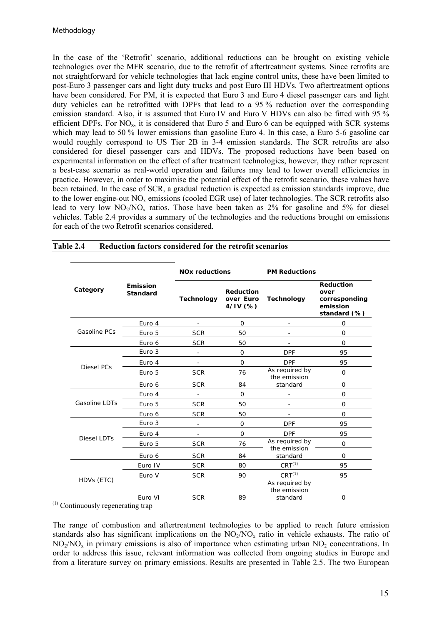In the case of the 'Retrofit' scenario, additional reductions can be brought on existing vehicle technologies over the MFR scenario, due to the retrofit of aftertreatment systems. Since retrofits are not straightforward for vehicle technologies that lack engine control units, these have been limited to post-Euro 3 passenger cars and light duty trucks and post Euro III HDVs. Two aftertreatment options have been considered. For PM, it is expected that Euro 3 and Euro 4 diesel passenger cars and light duty vehicles can be retrofitted with DPFs that lead to a 95 % reduction over the corresponding emission standard. Also, it is assumed that Euro IV and Euro V HDVs can also be fitted with 95 % efficient DPFs. For  $NO_x$ , it is considered that Euro 5 and Euro 6 can be equipped with SCR systems which may lead to 50 % lower emissions than gasoline Euro 4. In this case, a Euro 5-6 gasoline car would roughly correspond to US Tier 2B in 3-4 emission standards. The SCR retrofits are also considered for diesel passenger cars and HDVs. The proposed reductions have been based on experimental information on the effect of after treatment technologies, however, they rather represent a best-case scenario as real-world operation and failures may lead to lower overall efficiencies in practice. However, in order to maximise the potential effect of the retrofit scenario, these values have been retained. In the case of SCR, a gradual reduction is expected as emission standards improve, due to the lower engine-out  $NO<sub>x</sub>$  emissions (cooled EGR use) of later technologies. The SCR retrofits also lead to very low  $NO<sub>2</sub>/NO<sub>x</sub>$  ratios. Those have been taken as 2% for gasoline and 5% for diesel vehicles. Table 2.4 provides a summary of the technologies and the reductions brought on emissions for each of the two Retrofit scenarios considered.

|                                                                     |                             | <b>NO<sub>x</sub></b> reductions |                                          | <b>PM Reductions</b>                       |                                                                       |  |
|---------------------------------------------------------------------|-----------------------------|----------------------------------|------------------------------------------|--------------------------------------------|-----------------------------------------------------------------------|--|
| Category                                                            | Emission<br><b>Standard</b> | <b>Technology</b>                | <b>Reduction</b><br>over Euro<br>4/IV(%) | <b>Technology</b>                          | <b>Reduction</b><br>over<br>corresponding<br>emission<br>standard (%) |  |
|                                                                     | Euro 4                      |                                  | $\Omega$                                 |                                            | 0                                                                     |  |
| Gasoline PCs                                                        | Euro 5                      | <b>SCR</b>                       | 50                                       | ٠                                          | $\Omega$                                                              |  |
| Diesel PCs<br>Gasoline LDTs<br>Diesel LDTs<br>HDVs (ETC)<br>$\cdot$ | Euro 6                      | <b>SCR</b>                       | 50                                       | ٠                                          | $\Omega$                                                              |  |
|                                                                     | Euro 3                      |                                  | 0                                        | <b>DPF</b>                                 | 95                                                                    |  |
|                                                                     | Euro 4                      | $\overline{a}$                   | $\Omega$                                 | <b>DPF</b>                                 | 95                                                                    |  |
|                                                                     | Euro 5                      | <b>SCR</b>                       | 76                                       | As required by<br>the emission             | $\mathbf 0$                                                           |  |
|                                                                     | Euro 6                      | <b>SCR</b>                       | 84                                       | standard                                   | 0                                                                     |  |
|                                                                     | Euro 4                      |                                  | 0                                        |                                            | $\mathbf 0$                                                           |  |
|                                                                     | Euro 5                      | <b>SCR</b>                       | 50                                       |                                            | $\mathbf 0$                                                           |  |
|                                                                     | Euro 6                      | <b>SCR</b>                       | 50                                       |                                            | $\mathbf 0$<br>95<br>95<br>$\mathbf 0$<br>$\Omega$<br>95<br>95<br>0   |  |
|                                                                     | Euro 3                      | $\overline{\phantom{a}}$         | $\mathbf{O}$                             | <b>DPF</b>                                 |                                                                       |  |
|                                                                     | Euro 4                      | ÷.                               | 0                                        | <b>DPF</b>                                 |                                                                       |  |
|                                                                     | Euro 5                      | <b>SCR</b>                       | 76                                       | As required by                             |                                                                       |  |
|                                                                     | Euro 6                      | <b>SCR</b>                       | 84                                       | the emission<br>standard                   |                                                                       |  |
|                                                                     | Euro IV                     | <b>SCR</b>                       | 80                                       | $CRT^{(1)}$                                |                                                                       |  |
|                                                                     | Euro V                      | <b>SCR</b>                       | 90                                       | $CRT^{(1)}$                                |                                                                       |  |
|                                                                     | Euro VI                     | <b>SCR</b>                       | 89                                       | As required by<br>the emission<br>standard |                                                                       |  |

| Reduction factors considered for the retrofit scenarios | Table 2.4 |  |  |  |  |
|---------------------------------------------------------|-----------|--|--|--|--|
|---------------------------------------------------------|-----------|--|--|--|--|

(1) Continuously regenerating trap

The range of combustion and aftertreatment technologies to be applied to reach future emission standards also has significant implications on the  $NO<sub>2</sub>/NO<sub>x</sub>$  ratio in vehicle exhausts. The ratio of  $NO<sub>2</sub>/NO<sub>x</sub>$  in primary emissions is also of importance when estimating urban  $NO<sub>2</sub>$  concentrations. In order to address this issue, relevant information was collected from ongoing studies in Europe and from a literature survey on primary emissions. Results are presented in Table 2.5. The two European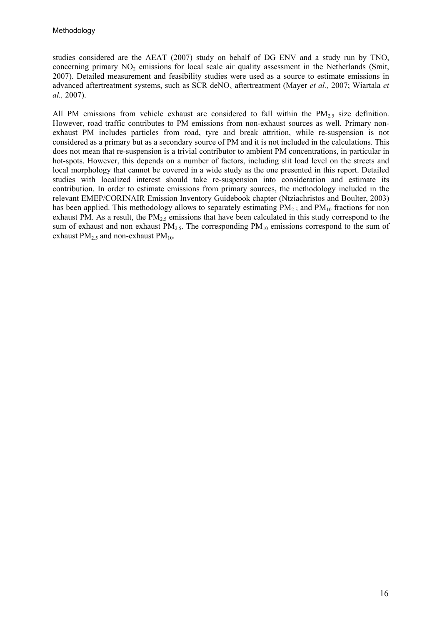studies considered are the AEAT (2007) study on behalf of DG ENV and a study run by TNO, concerning primary  $NO<sub>2</sub>$  emissions for local scale air quality assessment in the Netherlands (Smit, 2007). Detailed measurement and feasibility studies were used as a source to estimate emissions in advanced aftertreatment systems, such as SCR deNOx aftertreatment (Mayer *et al.,* 2007; Wiartala *et al.,* 2007).

All PM emissions from vehicle exhaust are considered to fall within the PM<sub>2.5</sub> size definition. However, road traffic contributes to PM emissions from non-exhaust sources as well. Primary nonexhaust PM includes particles from road, tyre and break attrition, while re-suspension is not considered as a primary but as a secondary source of PM and it is not included in the calculations. This does not mean that re-suspension is a trivial contributor to ambient PM concentrations, in particular in hot-spots. However, this depends on a number of factors, including slit load level on the streets and local morphology that cannot be covered in a wide study as the one presented in this report. Detailed studies with localized interest should take re-suspension into consideration and estimate its contribution. In order to estimate emissions from primary sources, the methodology included in the relevant EMEP/CORINAIR Emission Inventory Guidebook chapter (Ntziachristos and Boulter, 2003) has been applied. This methodology allows to separately estimating  $PM_{2.5}$  and  $PM_{10}$  fractions for non exhaust PM. As a result, the  $PM_{2.5}$  emissions that have been calculated in this study correspond to the sum of exhaust and non exhaust  $PM_{2.5}$ . The corresponding  $PM_{10}$  emissions correspond to the sum of exhaust  $PM_{2.5}$  and non-exhaust  $PM_{10}$ .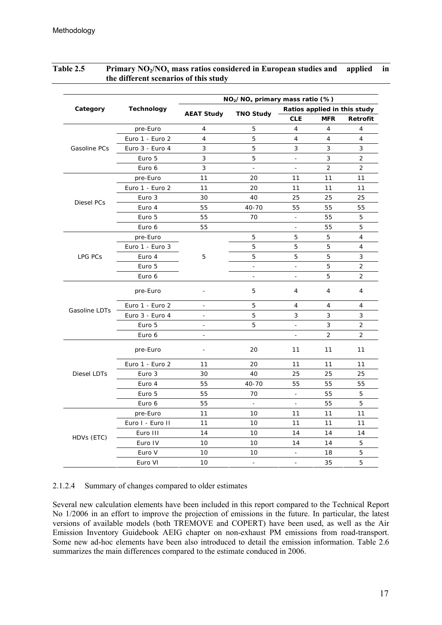|                                                                            |                  | NO <sub>2</sub> /NO <sub>x</sub> primary mass ratio (%) |                                                                                                                                                                                                                                                                                                                                                                                                                                                                                                                          |            |                |                                                                                                                                                                                                                                 |  |  |
|----------------------------------------------------------------------------|------------------|---------------------------------------------------------|--------------------------------------------------------------------------------------------------------------------------------------------------------------------------------------------------------------------------------------------------------------------------------------------------------------------------------------------------------------------------------------------------------------------------------------------------------------------------------------------------------------------------|------------|----------------|---------------------------------------------------------------------------------------------------------------------------------------------------------------------------------------------------------------------------------|--|--|
| Category                                                                   | Technology       |                                                         |                                                                                                                                                                                                                                                                                                                                                                                                                                                                                                                          |            |                |                                                                                                                                                                                                                                 |  |  |
|                                                                            |                  |                                                         |                                                                                                                                                                                                                                                                                                                                                                                                                                                                                                                          | <b>CLE</b> | <b>MFR</b>     | Retrofit<br>4<br>4<br>3<br>2<br>2<br>11<br>11<br>25<br>55<br>5<br>5<br>$\overline{4}$<br>4<br>3<br>2<br>2<br>4<br>4<br>3<br>$\overline{2}$<br>$\overline{2}$<br>11<br>11<br>25<br>55<br>5<br>5<br>11<br>11<br>14<br>5<br>5<br>5 |  |  |
|                                                                            | pre-Euro         | 4                                                       | 5                                                                                                                                                                                                                                                                                                                                                                                                                                                                                                                        | 4          | $\overline{4}$ |                                                                                                                                                                                                                                 |  |  |
|                                                                            | Euro 1 - Euro 2  | 4                                                       | 5                                                                                                                                                                                                                                                                                                                                                                                                                                                                                                                        | 4          | $\overline{4}$ |                                                                                                                                                                                                                                 |  |  |
| Gasoline PCs                                                               | Euro 3 - Euro 4  | 3                                                       | 5                                                                                                                                                                                                                                                                                                                                                                                                                                                                                                                        | 3          | 3              |                                                                                                                                                                                                                                 |  |  |
| Diesel PCs<br>LPG PCs<br>Gasoline LDTs<br><b>Diesel LDTs</b><br>HDVs (ETC) | Euro 5           | 3                                                       | 5                                                                                                                                                                                                                                                                                                                                                                                                                                                                                                                        | $\Box$     | 3              |                                                                                                                                                                                                                                 |  |  |
|                                                                            | Euro 6           | 3                                                       | $\blacksquare$                                                                                                                                                                                                                                                                                                                                                                                                                                                                                                           | $\equiv$   | $\overline{2}$ | 11<br>11<br>55<br>5<br>5<br>5<br>5<br>5<br>4<br>4<br>3<br>3<br>$\overline{2}$<br>11<br>11<br>11<br>11<br>14<br>14<br>18<br>35                                                                                                   |  |  |
|                                                                            | pre-Euro         | 11                                                      | 20                                                                                                                                                                                                                                                                                                                                                                                                                                                                                                                       | 11         |                |                                                                                                                                                                                                                                 |  |  |
|                                                                            | Euro 1 - Euro 2  | 11                                                      | 20                                                                                                                                                                                                                                                                                                                                                                                                                                                                                                                       | 11         |                |                                                                                                                                                                                                                                 |  |  |
|                                                                            | Euro 3           | 30                                                      | 40                                                                                                                                                                                                                                                                                                                                                                                                                                                                                                                       | 25         | 25             |                                                                                                                                                                                                                                 |  |  |
|                                                                            | Euro 4           | 55                                                      | Ratios applied in this study<br><b>TNO Study</b><br>40-70<br>55<br>55<br>70<br>55<br>$\blacksquare$<br>$\blacksquare$<br>5<br>5<br>5<br>5<br>5<br>5<br>$\frac{1}{2}$<br>$\overline{\phantom{a}}$<br>$\overline{a}$<br>$\overline{a}$<br>5<br>4<br>5<br>4<br>5<br>3<br>5<br>$\blacksquare$<br>20<br>11<br>20<br>11<br>40<br>25<br>25<br>40-70<br>55<br>55<br>70<br>$\equiv$<br>55<br>55<br>$\omega$<br>$\blacksquare$<br>10<br>11<br>10<br>11<br>10<br>14<br>10<br>14<br>10<br>$\overline{\phantom{a}}$<br>$\blacksquare$ |            |                |                                                                                                                                                                                                                                 |  |  |
|                                                                            | Euro 5           | 55                                                      |                                                                                                                                                                                                                                                                                                                                                                                                                                                                                                                          |            |                |                                                                                                                                                                                                                                 |  |  |
|                                                                            | Euro 6           | 55                                                      | 5<br>$\overline{a}$<br>$\sim$<br>11<br>30<br>55<br>55<br>55<br>11<br>11<br>14<br>10<br>10<br>10                                                                                                                                                                                                                                                                                                                                                                                                                          |            |                |                                                                                                                                                                                                                                 |  |  |
|                                                                            | pre-Euro         |                                                         |                                                                                                                                                                                                                                                                                                                                                                                                                                                                                                                          |            |                |                                                                                                                                                                                                                                 |  |  |
|                                                                            | Euro 1 - Euro 3  |                                                         |                                                                                                                                                                                                                                                                                                                                                                                                                                                                                                                          |            |                |                                                                                                                                                                                                                                 |  |  |
|                                                                            | Euro 4           |                                                         |                                                                                                                                                                                                                                                                                                                                                                                                                                                                                                                          |            |                |                                                                                                                                                                                                                                 |  |  |
|                                                                            | Euro 5           |                                                         |                                                                                                                                                                                                                                                                                                                                                                                                                                                                                                                          |            |                |                                                                                                                                                                                                                                 |  |  |
|                                                                            | Euro 6           |                                                         |                                                                                                                                                                                                                                                                                                                                                                                                                                                                                                                          |            |                |                                                                                                                                                                                                                                 |  |  |
|                                                                            | pre-Euro         |                                                         |                                                                                                                                                                                                                                                                                                                                                                                                                                                                                                                          |            |                |                                                                                                                                                                                                                                 |  |  |
|                                                                            | Euro 1 - Euro 2  |                                                         |                                                                                                                                                                                                                                                                                                                                                                                                                                                                                                                          |            |                |                                                                                                                                                                                                                                 |  |  |
|                                                                            | Euro 3 - Euro 4  | <b>AEAT Study</b>                                       |                                                                                                                                                                                                                                                                                                                                                                                                                                                                                                                          |            |                |                                                                                                                                                                                                                                 |  |  |
|                                                                            | Euro 5           |                                                         |                                                                                                                                                                                                                                                                                                                                                                                                                                                                                                                          |            |                |                                                                                                                                                                                                                                 |  |  |
|                                                                            | Euro 6           |                                                         |                                                                                                                                                                                                                                                                                                                                                                                                                                                                                                                          |            |                |                                                                                                                                                                                                                                 |  |  |
|                                                                            | pre-Euro         |                                                         |                                                                                                                                                                                                                                                                                                                                                                                                                                                                                                                          |            |                |                                                                                                                                                                                                                                 |  |  |
|                                                                            | Euro 1 - Euro 2  |                                                         |                                                                                                                                                                                                                                                                                                                                                                                                                                                                                                                          |            |                |                                                                                                                                                                                                                                 |  |  |
|                                                                            | Euro 3           |                                                         |                                                                                                                                                                                                                                                                                                                                                                                                                                                                                                                          |            |                |                                                                                                                                                                                                                                 |  |  |
|                                                                            | Euro 4           |                                                         |                                                                                                                                                                                                                                                                                                                                                                                                                                                                                                                          |            |                |                                                                                                                                                                                                                                 |  |  |
|                                                                            | Euro 5           |                                                         |                                                                                                                                                                                                                                                                                                                                                                                                                                                                                                                          |            |                |                                                                                                                                                                                                                                 |  |  |
|                                                                            | Euro 6           |                                                         |                                                                                                                                                                                                                                                                                                                                                                                                                                                                                                                          |            |                |                                                                                                                                                                                                                                 |  |  |
|                                                                            | pre-Euro         |                                                         |                                                                                                                                                                                                                                                                                                                                                                                                                                                                                                                          |            |                |                                                                                                                                                                                                                                 |  |  |
|                                                                            | Euro I - Euro II |                                                         |                                                                                                                                                                                                                                                                                                                                                                                                                                                                                                                          |            |                |                                                                                                                                                                                                                                 |  |  |
|                                                                            | Euro III         |                                                         |                                                                                                                                                                                                                                                                                                                                                                                                                                                                                                                          |            |                |                                                                                                                                                                                                                                 |  |  |
|                                                                            | Euro IV          |                                                         |                                                                                                                                                                                                                                                                                                                                                                                                                                                                                                                          |            |                |                                                                                                                                                                                                                                 |  |  |
|                                                                            | Euro V           |                                                         |                                                                                                                                                                                                                                                                                                                                                                                                                                                                                                                          |            |                |                                                                                                                                                                                                                                 |  |  |
|                                                                            | Euro VI          |                                                         |                                                                                                                                                                                                                                                                                                                                                                                                                                                                                                                          |            |                |                                                                                                                                                                                                                                 |  |  |

#### <span id="page-16-0"></span>Table 2.5 Primary NO<sub>2</sub>/NO<sub>x</sub> mass ratios considered in European studies and applied in  **the different scenarios of this study**

#### 2.1.2.4 Summary of changes compared to older estimates

Several new calculation elements have been included in this report compared to the Technical Report No 1/2006 in an effort to improve the projection of emissions in the future. In particular, the latest versions of available models (both TREMOVE and COPERT) have been used, as well as the Air Emission Inventory Guidebook AEIG chapter on non-exhaust PM emissions from road-transport. Some new ad-hoc elements have been also introduced to detail the emission information. Table 2.6 summarizes the main differences compared to the estimate conduced in 2006.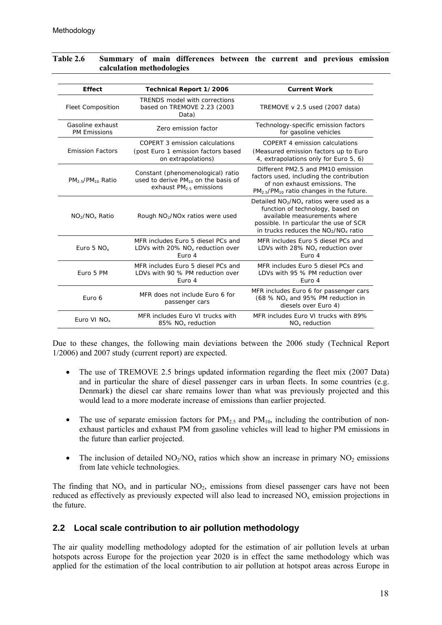| <b>Effect</b>                           | Technical Report 1/2006                                                                                    | <b>Current Work</b>                                                                                                                                                                             |
|-----------------------------------------|------------------------------------------------------------------------------------------------------------|-------------------------------------------------------------------------------------------------------------------------------------------------------------------------------------------------|
| <b>Fleet Composition</b>                | <b>TRENDS model with corrections</b><br>based on TREMOVE 2.23 (2003<br>Data)                               | TREMOVE v 2.5 used (2007 data)                                                                                                                                                                  |
| Gasoline exhaust<br><b>PM Emissions</b> | Zero emission factor                                                                                       | Technology-specific emission factors<br>for gasoline vehicles                                                                                                                                   |
| <b>Emission Factors</b>                 | COPERT 3 emission calculations<br>(post Euro 1 emission factors based<br>on extrapolations)                | COPERT 4 emission calculations<br>(Measured emission factors up to Euro<br>4, extrapolations only for Euro 5, 6)                                                                                |
| $PM2.5/PM10$ Ratio                      | Constant (phenomenological) ratio<br>used to derive $PM_{10}$ on the basis of<br>exhaust $PM2.5$ emissions | Different PM2.5 and PM10 emission<br>factors used, including the contribution<br>of non exhaust emissions. The<br>$PM_{2.5}/PM_{10}$ ratio changes in the future.                               |
| $NO_2/NO_x$ Ratio                       | Rough $NO2/NOx$ ratios were used                                                                           | Detailed $NO2/NOx$ ratios were used as a<br>function of technology, based on<br>available measurements where<br>possible. In particular the use of SCR<br>in trucks reduces the $NO2/NOx$ ratio |
| Euro 5 $NOx$                            | MFR includes Euro 5 diesel PCs and<br>LDVs with 20% $NOx$ reduction over<br>Euro 4                         | MFR includes Euro 5 diesel PCs and<br>LDVs with 28% $NOx$ reduction over<br>Euro 4                                                                                                              |
| Euro 5 PM                               | MFR includes Euro 5 diesel PCs and<br>LDVs with 90 % PM reduction over<br>Euro 4                           | MFR includes Euro 5 diesel PCs and<br>LDVs with 95 % PM reduction over<br>Euro 4                                                                                                                |
| Euro 6                                  | MFR does not include Euro 6 for<br>passenger cars                                                          | MFR includes Euro 6 for passenger cars<br>(68 % NO <sub>x</sub> and 95% PM reduction in<br>diesels over Euro 4)                                                                                 |
| Euro VI NO <sub>x</sub>                 | MFR includes Euro VI trucks with<br>85% NO <sub>x</sub> reduction                                          | MFR includes Euro VI trucks with 89%<br>$NOx$ reduction                                                                                                                                         |

#### <span id="page-17-0"></span>**Table 2.6 Summary of main differences between the current and previous emission calculation methodologies**

Due to these changes, the following main deviations between the 2006 study (Technical Report 1/2006) and 2007 study (current report) are expected.

- The use of TREMOVE 2.5 brings updated information regarding the fleet mix (2007 Data) and in particular the share of diesel passenger cars in urban fleets. In some countries (e.g. Denmark) the diesel car share remains lower than what was previously projected and this would lead to a more moderate increase of emissions than earlier projected.
- The use of separate emission factors for  $PM_{2.5}$  and  $PM_{10}$ , including the contribution of nonexhaust particles and exhaust PM from gasoline vehicles will lead to higher PM emissions in the future than earlier projected.
- The inclusion of detailed  $NO<sub>2</sub>/NO<sub>x</sub>$  ratios which show an increase in primary  $NO<sub>2</sub>$  emissions from late vehicle technologies.

The finding that  $NO<sub>x</sub>$  and in particular  $NO<sub>2</sub>$ , emissions from diesel passenger cars have not been reduced as effectively as previously expected will also lead to increased  $NO<sub>x</sub>$  emission projections in the future.

## **2.2 Local scale contribution to air pollution methodology**

The air quality modelling methodology adopted for the estimation of air pollution levels at urban hotspots across Europe for the projection year 2020 is in effect the same methodology which was applied for the estimation of the local contribution to air pollution at hotspot areas across Europe in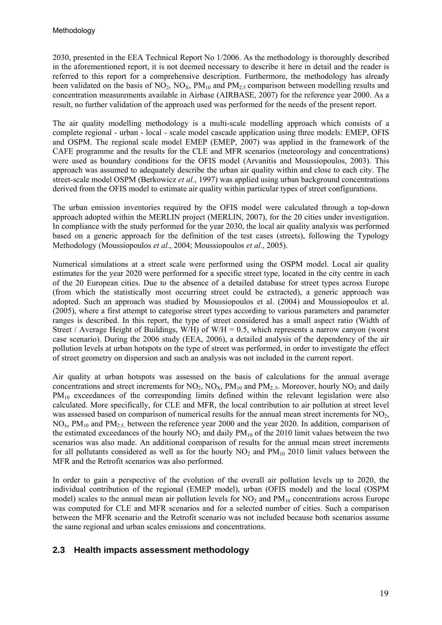<span id="page-18-0"></span>2030, presented in the EEA Technical Report No 1/2006. As the methodology is thoroughly described in the aforementioned report, it is not deemed necessary to describe it here in detail and the reader is referred to this report for a comprehensive description. Furthermore, the methodology has already been validated on the basis of NO<sub>2</sub>, NO<sub>3</sub>, PM<sub>10</sub> and PM<sub>2.5</sub> comparison between modelling results and concentration measurements available in Airbase (AIRBASE, 2007) for the reference year 2000. As a result, no further validation of the approach used was performed for the needs of the present report.

The air quality modelling methodology is a multi-scale modelling approach which consists of a complete regional - urban - local - scale model cascade application using three models: EMEP, OFIS and OSPM. The regional scale model EMEP (EMEP, 2007) was applied in the framework of the CAFE programme and the results for the CLE and MFR scenarios (meteorology and concentrations) were used as boundary conditions for the OFIS model (Arvanitis and Moussiopoulos, 2003). This approach was assumed to adequately describe the urban air quality within and close to each city. The street-scale model OSPM (Berkowicz *et al.*, 1997) was applied using urban background concentrations derived from the OFIS model to estimate air quality within particular types of street configurations.

The urban emission inventories required by the OFIS model were calculated through a top-down approach adopted within the MERLIN project (MERLIN, 2007), for the 20 cities under investigation. In compliance with the study performed for the year 2030, the local air quality analysis was performed based on a generic approach for the definition of the test cases (streets), following the Typology Methodology (Moussiopoulos *et al.*, 2004; Moussiopoulos *et al.*, 2005).

Numerical simulations at a street scale were performed using the OSPM model. Local air quality estimates for the year 2020 were performed for a specific street type, located in the city centre in each of the 20 European cities. Due to the absence of a detailed database for street types across Europe (from which the statistically most occurring street could be extracted), a generic approach was adopted. Such an approach was studied by Moussiopoulos et al. (2004) and Moussiopoulos et al. (2005), where a first attempt to categorise street types according to various parameters and parameter ranges is described. In this report, the type of street considered has a small aspect ratio (Width of Street / Average Height of Buildings, W/H) of W/H = 0.5, which represents a narrow canyon (worst case scenario). During the 2006 study (EEA, 2006), a detailed analysis of the dependency of the air pollution levels at urban hotspots on the type of street was performed, in order to investigate the effect of street geometry on dispersion and such an analysis was not included in the current report.

Air quality at urban hotspots was assessed on the basis of calculations for the annual average concentrations and street increments for  $NO_2$ ,  $NO_X$ ,  $PM_{10}$  and  $PM_{2.5}$ . Moreover, hourly  $NO_2$  and daily PM<sub>10</sub> exceedances of the corresponding limits defined within the relevant legislation were also calculated. More specifically, for CLE and MFR, the local contribution to air pollution at street level was assessed based on comparison of numerical results for the annual mean street increments for NO<sub>2</sub>,  $NO<sub>x</sub>$ ,  $PM<sub>10</sub>$  and  $PM<sub>2.5</sub>$ , between the reference year 2000 and the year 2020. In addition, comparison of the estimated exceedances of the hourly  $NO<sub>2</sub>$  and daily  $PM<sub>10</sub>$  of the 2010 limit values between the two scenarios was also made. An additional comparison of results for the annual mean street increments for all pollutants considered as well as for the hourly  $NO<sub>2</sub>$  and  $PM<sub>10</sub>$  2010 limit values between the MFR and the Retrofit scenarios was also performed.

In order to gain a perspective of the evolution of the overall air pollution levels up to 2020, the individual contribution of the regional (EMEP model), urban (OFIS model) and the local (OSPM model) scales to the annual mean air pollution levels for  $NO<sub>2</sub>$  and  $PM<sub>10</sub>$  concentrations across Europe was computed for CLE and MFR scenarios and for a selected number of cities. Such a comparison between the MFR scenario and the Retrofit scenario was not included because both scenarios assume the same regional and urban scales emissions and concentrations.

## **2.3 Health impacts assessment methodology**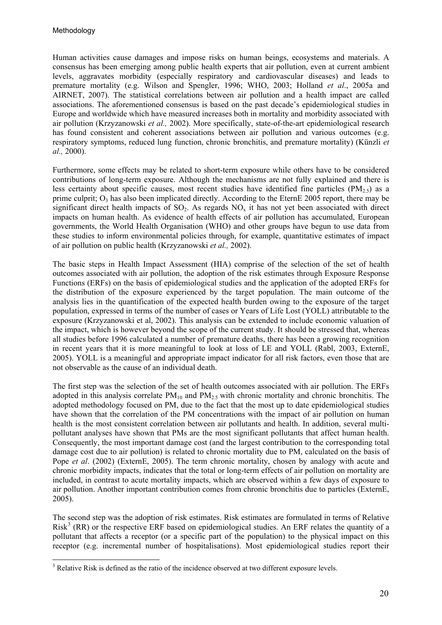1

Human activities cause damages and impose risks on human beings, ecosystems and materials. A consensus has been emerging among public health experts that air pollution, even at current ambient levels, aggravates morbidity (especially respiratory and cardiovascular diseases) and leads to premature mortality (e.g. Wilson and Spengler, 1996; WHO, 2003; Holland *et al*., 2005a and AIRNET, 2007). The statistical correlations between air pollution and a health impact are called associations. The aforementioned consensus is based on the past decade's epidemiological studies in Europe and worldwide which have measured increases both in mortality and morbidity associated with air pollution (Krzyzanowski *et al.,* 2002). More specifically, state-of-the-art epidemiological research has found consistent and coherent associations between air pollution and various outcomes (e.g. respiratory symptoms, reduced lung function, chronic bronchitis, and premature mortality) (Künzli *et al.,* 2000).

Furthermore, some effects may be related to short-term exposure while others have to be considered contributions of long-term exposure. Although the mechanisms are not fully explained and there is less certainty about specific causes, most recent studies have identified fine particles ( $PM_{2.5}$ ) as a prime culprit;  $O_3$  has also been implicated directly. According to the EternE 2005 report, there may be significant direct health impacts of  $SO_2$ . As regards  $NO_x$  it has not yet been associated with direct impacts on human health. As evidence of health effects of air pollution has accumulated, European governments, the World Health Organisation (WHO) and other groups have begun to use data from these studies to inform environmental policies through, for example, quantitative estimates of impact of air pollution on public health (Krzyzanowski *et al.,* 2002).

The basic steps in Health Impact Assessment (HIA) comprise of the selection of the set of health outcomes associated with air pollution, the adoption of the risk estimates through Exposure Response Functions (ERFs) on the basis of epidemiological studies and the application of the adopted ERFs for the distribution of the exposure experienced by the target population. The main outcome of the analysis lies in the quantification of the expected health burden owing to the exposure of the target population, expressed in terms of the number of cases or Years of Life Lost (YOLL) attributable to the exposure (Krzyzanowski et al, 2002). This analysis can be extended to include economic valuation of the impact, which is however beyond the scope of the current study. It should be stressed that, whereas all studies before 1996 calculated a number of premature deaths, there has been a growing recognition in recent years that it is more meaningful to look at loss of LE and YOLL (Rabl, 2003, ExternE, 2005). YOLL is a meaningful and appropriate impact indicator for all risk factors, even those that are not observable as the cause of an individual death.

The first step was the selection of the set of health outcomes associated with air pollution. The ERFs adopted in this analysis correlate  $PM_{10}$  and  $PM_{25}$  with chronic mortality and chronic bronchitis. The adopted methodology focused on PM, due to the fact that the most up to date epidemiological studies have shown that the correlation of the PM concentrations with the impact of air pollution on human health is the most consistent correlation between air pollutants and health. In addition, several multipollutant analyses have shown that PMs are the most significant pollutants that affect human health. Consequently, the most important damage cost (and the largest contribution to the corresponding total damage cost due to air pollution) is related to chronic mortality due to PM, calculated on the basis of Pope *et al*. (2002) (ExternE, 2005). The term chronic mortality, chosen by analogy with acute and chronic morbidity impacts, indicates that the total or long-term effects of air pollution on mortality are included, in contrast to acute mortality impacts, which are observed within a few days of exposure to air pollution. Another important contribution comes from chronic bronchitis due to particles (ExternE, 2005).

The second step was the adoption of risk estimates. Risk estimates are formulated in terms of Relative Risk<sup>[3](#page-19-0)</sup> (RR) or the respective ERF based on epidemiological studies. An ERF relates the quantity of a pollutant that affects a receptor (or a specific part of the population) to the physical impact on this receptor (e.g. incremental number of hospitalisations). Most epidemiological studies report their

<span id="page-19-0"></span> $3$  Relative Risk is defined as the ratio of the incidence observed at two different exposure levels.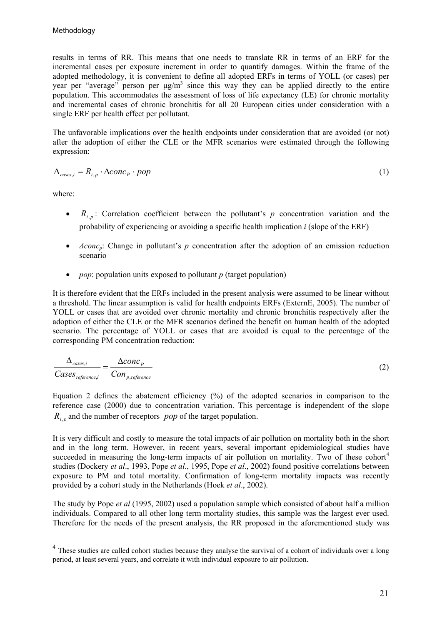results in terms of RR. This means that one needs to translate RR in terms of an ERF for the incremental cases per exposure increment in order to quantify damages. Within the frame of the adopted methodology, it is convenient to define all adopted ERFs in terms of YOLL (or cases) per year per "average" person per  $\mu$ g/m<sup>3</sup> since this way they can be applied directly to the entire population. This accommodates the assessment of loss of life expectancy (LE) for chronic mortality and incremental cases of chronic bronchitis for all 20 European cities under consideration with a single ERF per health effect per pollutant.

The unfavorable implications over the health endpoints under consideration that are avoided (or not) after the adoption of either the CLE or the MFR scenarios were estimated through the following expression:

$$
\Delta_{\text{cases},i} = R_{i,p} \cdot \Delta \text{conc}_p \cdot \text{pop} \tag{1}
$$

where:

1

- $R_{i,p}$ : Correlation coefficient between the pollutant's p concentration variation and the probability of experiencing or avoiding a specific health implication *i* (slope of the ERF)
- *Δconc<sub>p</sub>*: Change in pollutant's *p* concentration after the adoption of an emission reduction scenario
- *pop*: population units exposed to pollutant *p* (target population)

It is therefore evident that the ERFs included in the present analysis were assumed to be linear without a threshold. The linear assumption is valid for health endpoints ERFs (ExternE, 2005). The number of YOLL or cases that are avoided over chronic mortality and chronic bronchitis respectively after the adoption of either the CLE or the MFR scenarios defined the benefit on human health of the adopted scenario. The percentage of YOLL or cases that are avoided is equal to the percentage of the corresponding PM concentration reduction:

$$
\frac{\Delta_{cases,i}}{Cases_{reference,i}} = \frac{60nc_p}{Con_{p,reference}} \tag{2}
$$

Equation 2 defines the abatement efficiency (%) of the adopted scenarios in comparison to the reference case (2000) due to concentration variation. This percentage is independent of the slope  $R_{i,p}$  and the number of receptors *pop* of the target population.

It is very difficult and costly to measure the total impacts of air pollution on mortality both in the short and in the long term. However, in recent years, several important epidemiological studies have succeeded in measuring the long-term impacts of air pollution on mortality. Two of these cohort<sup>[4](#page-20-0)</sup> studies (Dockery *et al*., 1993, Pope *et al*., 1995, Pope *et al*., 2002) found positive correlations between exposure to PM and total mortality. Confirmation of long-term mortality impacts was recently provided by a cohort study in the Netherlands (Hoek *et al*., 2002).

The study by Pope *et al* (1995, 2002) used a population sample which consisted of about half a million individuals. Compared to all other long term mortality studies, this sample was the largest ever used. Therefore for the needs of the present analysis, the RR proposed in the aforementioned study was

<span id="page-20-0"></span><sup>&</sup>lt;sup>4</sup> These studies are called cohort studies because they analyse the survival of a cohort of individuals over a long period, at least several years, and correlate it with individual exposure to air pollution.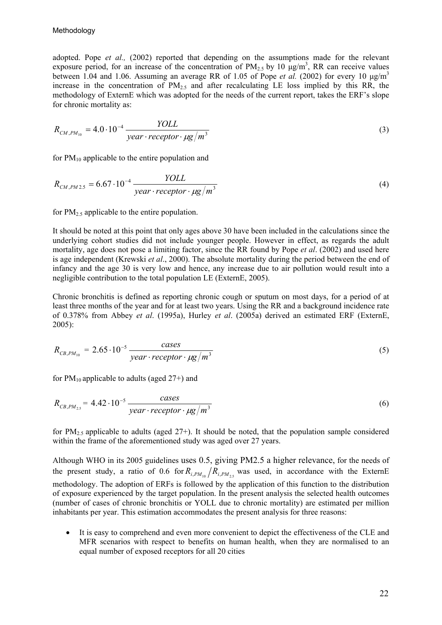adopted. Pope *et al.,* (2002) reported that depending on the assumptions made for the relevant exposure period, for an increase of the concentration of  $PM_{2.5}$  by 10  $\mu g/m^3$ , RR can receive values between 1.04 and 1.06. Assuming an average RR of 1.05 of Pope *et al.* (2002) for every 10 μg/m3 increase in the concentration of  $PM<sub>2.5</sub>$  and after recalculating LE loss implied by this RR, the methodology of ExternE which was adopted for the needs of the current report, takes the ERF's slope for chronic mortality as:

$$
R_{CM,PM_{10}} = 4.0 \cdot 10^{-4} \frac{YOLL}{year \cdot receptor \cdot \mu g/m^3}
$$
 (3)

for  $PM_{10}$  applicable to the entire population and

$$
R_{CM,PM2.5} = 6.67 \cdot 10^{-4} \frac{YOLL}{year \cdot receptor \cdot \mu g/m^3}
$$
 (4)

for  $PM_{2.5}$  applicable to the entire population.

It should be noted at this point that only ages above 30 have been included in the calculations since the underlying cohort studies did not include younger people. However in effect, as regards the adult mortality, age does not pose a limiting factor, since the RR found by Pope *et al*. (2002) and used here is age independent (Krewski *et al*., 2000). The absolute mortality during the period between the end of infancy and the age 30 is very low and hence, any increase due to air pollution would result into a negligible contribution to the total population LE (ExternE, 2005).

Chronic bronchitis is defined as reporting chronic cough or sputum on most days, for a period of at least three months of the year and for at least two years. Using the RR and a background incidence rate of 0.378% from Abbey *et al*. (1995a), Hurley *et al*. (2005a) derived an estimated ERF (ExternE, 2005):

$$
R_{CB,PM_{10}} = 2.65 \cdot 10^{-5} \frac{cases}{year \cdot receptor \cdot \mu g/m^3}
$$
 (5)

for  $PM_{10}$  applicable to adults (aged 27+) and

$$
R_{CB,PM_{2.5}} = 4.42 \cdot 10^{-5} \frac{cases}{year \cdot receptor \cdot \mu g/m^3}
$$
 (6)

for  $PM_{2.5}$  applicable to adults (aged 27+). It should be noted, that the population sample considered within the frame of the aforementioned study was aged over 27 years.

Although WHO in its 2005 guidelines uses 0.5, giving PM2.5 a higher relevance, for the needs of the present study, a ratio of 0.6 for  $R_{i,PM_{10}}/R_{i,PM_{25}}$  was used, in accordance with the ExternE methodology. The adoption of ERFs is followed by the application of this function to the distribution of exposure experienced by the target population. In the present analysis the selected health outcomes (number of cases of chronic bronchitis or YOLL due to chronic mortality) are estimated per million inhabitants per year. This estimation accommodates the present analysis for three reasons:

• It is easy to comprehend and even more convenient to depict the effectiveness of the CLE and MFR scenarios with respect to benefits on human health, when they are normalised to an equal number of exposed receptors for all 20 cities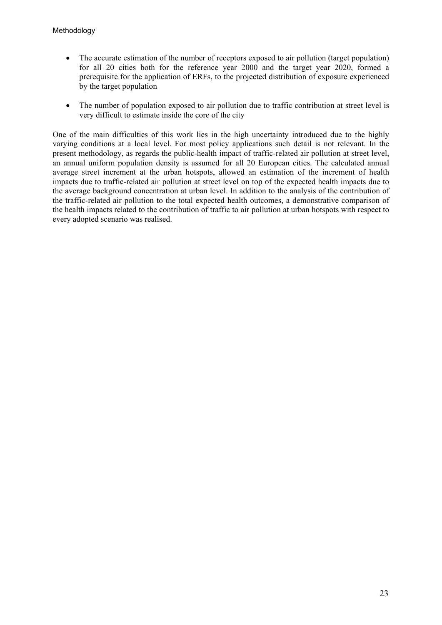- The accurate estimation of the number of receptors exposed to air pollution (target population) for all 20 cities both for the reference year 2000 and the target year 2020, formed a prerequisite for the application of ERFs, to the projected distribution of exposure experienced by the target population
- The number of population exposed to air pollution due to traffic contribution at street level is very difficult to estimate inside the core of the city

One of the main difficulties of this work lies in the high uncertainty introduced due to the highly varying conditions at a local level. For most policy applications such detail is not relevant. In the present methodology, as regards the public-health impact of traffic-related air pollution at street level, an annual uniform population density is assumed for all 20 European cities. The calculated annual average street increment at the urban hotspots, allowed an estimation of the increment of health impacts due to traffic-related air pollution at street level on top of the expected health impacts due to the average background concentration at urban level. In addition to the analysis of the contribution of the traffic-related air pollution to the total expected health outcomes, a demonstrative comparison of the health impacts related to the contribution of traffic to air pollution at urban hotspots with respect to every adopted scenario was realised.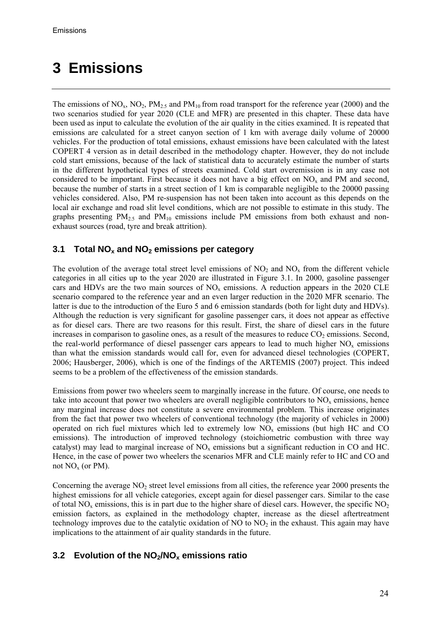## <span id="page-23-0"></span>**3 Emissions**

The emissions of  $NO_x$ ,  $NO_2$ ,  $PM_{2.5}$  and  $PM_{10}$  from road transport for the reference year (2000) and the two scenarios studied for year 2020 (CLE and MFR) are presented in this chapter. These data have been used as input to calculate the evolution of the air quality in the cities examined. It is repeated that emissions are calculated for a street canyon section of 1 km with average daily volume of 20000 vehicles. For the production of total emissions, exhaust emissions have been calculated with the latest COPERT 4 version as in detail described in the methodology chapter. However, they do not include cold start emissions, because of the lack of statistical data to accurately estimate the number of starts in the different hypothetical types of streets examined. Cold start overemission is in any case not considered to be important. First because it does not have a big effect on  $NO<sub>x</sub>$  and PM and second, because the number of starts in a street section of 1 km is comparable negligible to the 20000 passing vehicles considered. Also, PM re-suspension has not been taken into account as this depends on the local air exchange and road slit level conditions, which are not possible to estimate in this study. The graphs presenting  $PM_{2.5}$  and  $PM_{10}$  emissions include PM emissions from both exhaust and nonexhaust sources (road, tyre and break attrition).

## **3.1 Total NOx and NO2 emissions per category**

The evolution of the average total street level emissions of  $NO<sub>2</sub>$  and  $NO<sub>x</sub>$  from the different vehicle categories in all cities up to the year 2020 are illustrated in Figure 3.1. In 2000, gasoline passenger cars and HDVs are the two main sources of  $NO<sub>x</sub>$  emissions. A reduction appears in the 2020 CLE scenario compared to the reference year and an even larger reduction in the 2020 MFR scenario. The latter is due to the introduction of the Euro 5 and 6 emission standards (both for light duty and HDVs). Although the reduction is very significant for gasoline passenger cars, it does not appear as effective as for diesel cars. There are two reasons for this result. First, the share of diesel cars in the future increases in comparison to gasoline ones, as a result of the measures to reduce  $CO<sub>2</sub>$  emissions. Second, the real-world performance of diesel passenger cars appears to lead to much higher  $NO<sub>x</sub>$  emissions than what the emission standards would call for, even for advanced diesel technologies (COPERT, 2006; Hausberger, 2006), which is one of the findings of the ARTEMIS (2007) project. This indeed seems to be a problem of the effectiveness of the emission standards.

Emissions from power two wheelers seem to marginally increase in the future. Of course, one needs to take into account that power two wheelers are overall negligible contributors to  $NO<sub>x</sub>$  emissions, hence any marginal increase does not constitute a severe environmental problem. This increase originates from the fact that power two wheelers of conventional technology (the majority of vehicles in 2000) operated on rich fuel mixtures which led to extremely low  $NO<sub>x</sub>$  emissions (but high HC and CO emissions). The introduction of improved technology (stoichiometric combustion with three way catalyst) may lead to marginal increase of  $NO<sub>x</sub>$  emissions but a significant reduction in CO and HC. Hence, in the case of power two wheelers the scenarios MFR and CLE mainly refer to HC and CO and not  $NO<sub>x</sub>$  (or PM).

Concerning the average  $NO<sub>2</sub>$  street level emissions from all cities, the reference year 2000 presents the highest emissions for all vehicle categories, except again for diesel passenger cars. Similar to the case of total  $NO<sub>x</sub>$  emissions, this is in part due to the higher share of diesel cars. However, the specific  $NO<sub>2</sub>$ emission factors, as explained in the methodology chapter, increase as the diesel aftertreatment technology improves due to the catalytic oxidation of NO to  $NO<sub>2</sub>$  in the exhaust. This again may have implications to the attainment of air quality standards in the future.

## **3.2 Evolution of the NO2/NOx emissions ratio**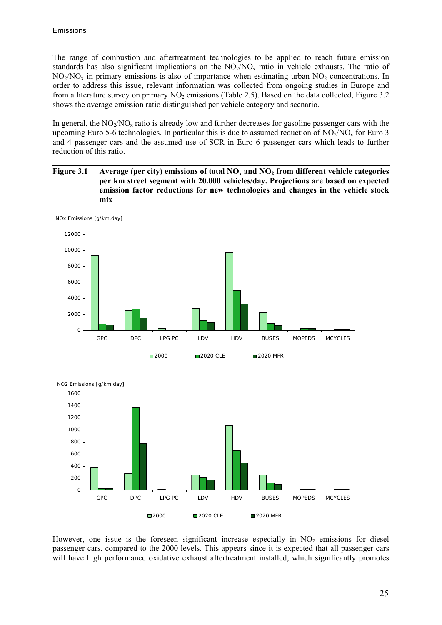The range of combustion and aftertreatment technologies to be applied to reach future emission standards has also significant implications on the  $NO<sub>2</sub>/NO<sub>x</sub>$  ratio in vehicle exhausts. The ratio of  $NO<sub>2</sub>/NO<sub>x</sub>$  in primary emissions is also of importance when estimating urban  $NO<sub>2</sub>$  concentrations. In order to address this issue, relevant information was collected from ongoing studies in Europe and from a literature survey on primary  $NO<sub>2</sub>$  emissions (Table 2.5). Based on the data collected, Figure 3.2 shows the average emission ratio distinguished per vehicle category and scenario.

In general, the  $NO<sub>2</sub>/NO<sub>x</sub>$  ratio is already low and further decreases for gasoline passenger cars with the upcoming Euro 5-6 technologies. In particular this is due to assumed reduction of  $NO<sub>2</sub>/NO<sub>x</sub>$  for Euro 3 and 4 passenger cars and the assumed use of SCR in Euro 6 passenger cars which leads to further reduction of this ratio.







However, one issue is the foreseen significant increase especially in  $NO<sub>2</sub>$  emissions for diesel passenger cars, compared to the 2000 levels. This appears since it is expected that all passenger cars will have high performance oxidative exhaust aftertreatment installed, which significantly promotes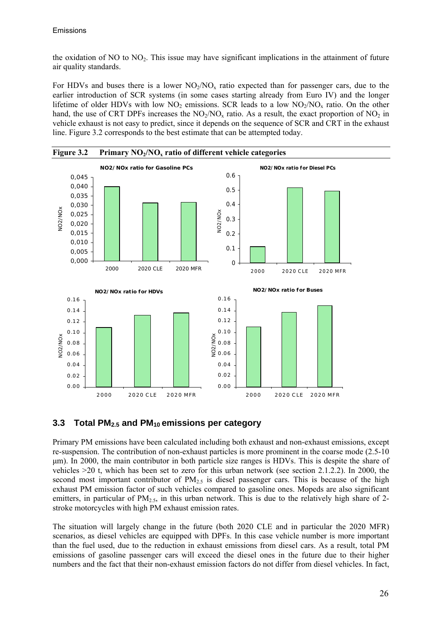<span id="page-25-0"></span>the oxidation of ΝΟ to ΝΟ2. This issue may have significant implications in the attainment of future air quality standards.

For HDVs and buses there is a lower  $NO<sub>2</sub>/NO<sub>x</sub>$  ratio expected than for passenger cars, due to the earlier introduction of SCR systems (in some cases starting already from Euro IV) and the longer lifetime of older HDVs with low  $NO_2$  emissions. SCR leads to a low  $NO_2/NO_x$  ratio. On the other hand, the use of CRT DPFs increases the  $NO<sub>2</sub>/NO<sub>x</sub>$  ratio. As a result, the exact proportion of  $NO<sub>2</sub>$  in vehicle exhaust is not easy to predict, since it depends on the sequence of SCR and CRT in the exhaust line. Figure 3.2 corresponds to the best estimate that can be attempted today.



**3.3 Total PM2.5 and PM10 emissions per category** 

Primary PM emissions have been calculated including both exhaust and non-exhaust emissions, except re-suspension. The contribution of non-exhaust particles is more prominent in the coarse mode (2.5-10 μm). In 2000, the main contributor in both particle size ranges is HDVs. This is despite the share of vehicles >20 t, which has been set to zero for this urban network (see section 2.1.2.2). In 2000, the second most important contributor of  $PM_{2.5}$  is diesel passenger cars. This is because of the high exhaust PM emission factor of such vehicles compared to gasoline ones. Mopeds are also significant emitters, in particular of  $PM_{2.5}$ , in this urban network. This is due to the relatively high share of 2stroke motorcycles with high PM exhaust emission rates.

The situation will largely change in the future (both 2020 CLE and in particular the 2020 MFR) scenarios, as diesel vehicles are equipped with DPFs. In this case vehicle number is more important than the fuel used, due to the reduction in exhaust emissions from diesel cars. As a result, total PM emissions of gasoline passenger cars will exceed the diesel ones in the future due to their higher numbers and the fact that their non-exhaust emission factors do not differ from diesel vehicles. In fact,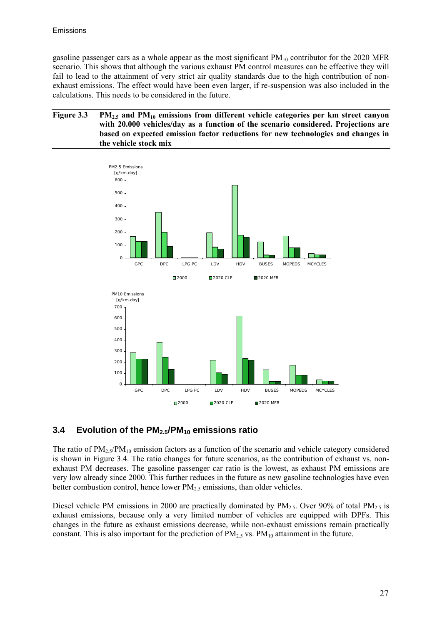<span id="page-26-0"></span>gasoline passenger cars as a whole appear as the most significant  $PM_{10}$  contributor for the 2020 MFR scenario. This shows that although the various exhaust PM control measures can be effective they will fail to lead to the attainment of very strict air quality standards due to the high contribution of nonexhaust emissions. The effect would have been even larger, if re-suspension was also included in the calculations. This needs to be considered in the future.

#### Figure 3.3 PM<sub>2.5</sub> and PM<sub>10</sub> emissions from different vehicle categories per km street canyon **with 20.000 vehicles/day as a function of the scenario considered. Projections are based on expected emission factor reductions for new technologies and changes in the vehicle stock mix**



## **3.4 Evolution of the PM2.5/PM10 emissions ratio**

The ratio of  $PM_{2.5}/PM_{10}$  emission factors as a function of the scenario and vehicle category considered is shown in Figure 3.4. The ratio changes for future scenarios, as the contribution of exhaust vs. nonexhaust PM decreases. The gasoline passenger car ratio is the lowest, as exhaust PM emissions are very low already since 2000. This further reduces in the future as new gasoline technologies have even better combustion control, hence lower  $PM_{2.5}$  emissions, than older vehicles.

Diesel vehicle PM emissions in 2000 are practically dominated by  $PM_{2.5}$ . Over 90% of total  $PM_{2.5}$  is exhaust emissions, because only a very limited number of vehicles are equipped with DPFs. This changes in the future as exhaust emissions decrease, while non-exhaust emissions remain practically constant. This is also important for the prediction of  $PM_{2.5}$  vs.  $PM_{10}$  attainment in the future.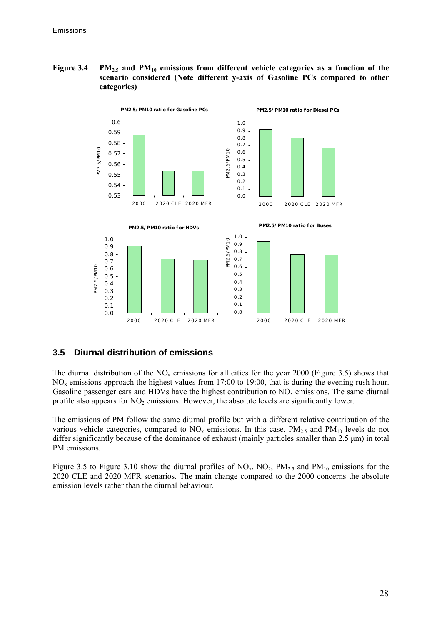#### <span id="page-27-0"></span>Figure 3.4 PM<sub>2.5</sub> and PM<sub>10</sub> emissions from different vehicle categories as a function of the **scenario considered (Note different y-axis of Gasoline PCs compared to other categories)**



## **3.5 Diurnal distribution of emissions**

The diurnal distribution of the  $NO<sub>x</sub>$  emissions for all cities for the year 2000 (Figure 3.5) shows that NO<sub>x</sub> emissions approach the highest values from 17:00 to 19:00, that is during the evening rush hour. Gasoline passenger cars and HDVs have the highest contribution to  $NO<sub>x</sub>$  emissions. The same diurnal profile also appears for  $NO<sub>2</sub>$  emissions. However, the absolute levels are significantly lower.

The emissions of PM follow the same diurnal profile but with a different relative contribution of the various vehicle categories, compared to  $NO<sub>x</sub>$  emissions. In this case,  $PM<sub>2.5</sub>$  and  $PM<sub>10</sub>$  levels do not differ significantly because of the dominance of exhaust (mainly particles smaller than 2.5 μm) in total PM emissions.

Figure 3.5 to Figure 3.10 show the diurnal profiles of  $NO<sub>x</sub>$ ,  $NO<sub>2</sub>$ ,  $PM<sub>2.5</sub>$  and  $PM<sub>10</sub>$  emissions for the 2020 CLE and 2020 MFR scenarios. The main change compared to the 2000 concerns the absolute emission levels rather than the diurnal behaviour.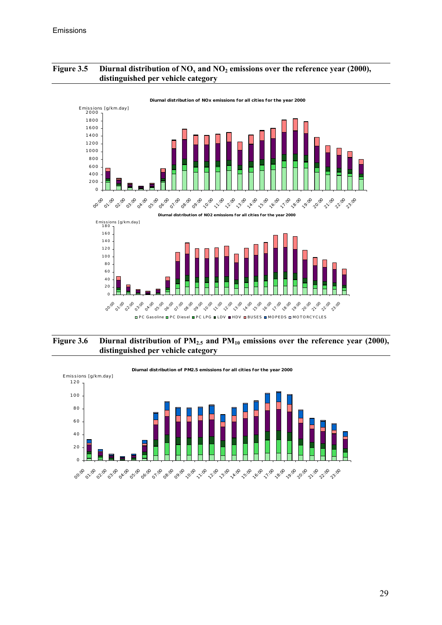#### Figure 3.5 Diurnal distribution of NO<sub>x</sub> and NO<sub>2</sub> emissions over the reference year (2000), **distinguished per vehicle category**





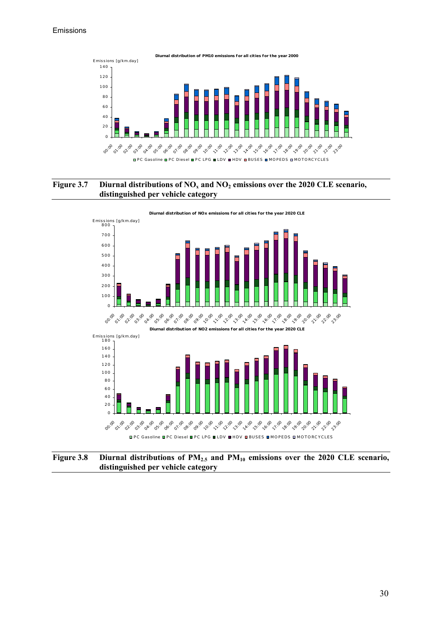#### Emissions



#### Figure 3.7 Diurnal distributions of NO<sub>x</sub> and NO<sub>2</sub> emissions over the 2020 CLE scenario, **distinguished per vehicle category**



Figure 3.8 Diurnal distributions of PM<sub>2.5</sub> and PM<sub>10</sub> emissions over the 2020 CLE scenario, **distinguished per vehicle category**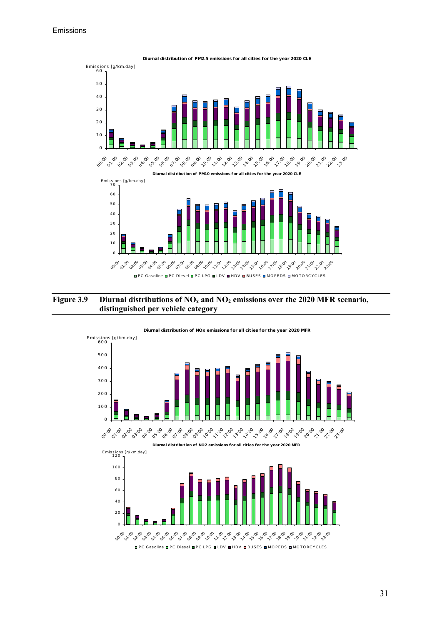

#### Figure 3.9 Diurnal distributions of NO<sub>x</sub> and NO<sub>2</sub> emissions over the 2020 MFR scenario, **distinguished per vehicle category**



#### **Diurnal distribut ion of PM2.5 emissions for all cit ies for the year 2020 CLE**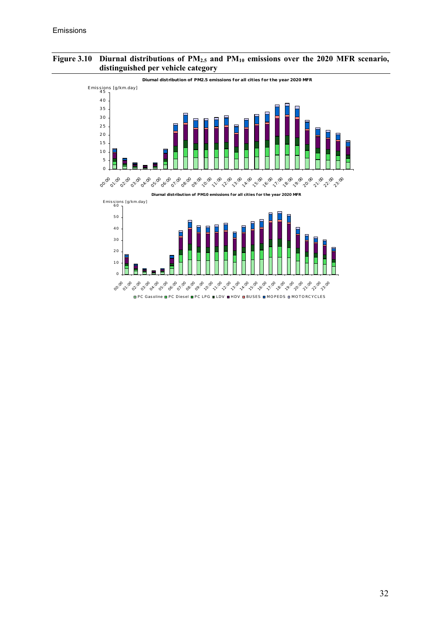#### Figure 3.10 Diurnal distributions of PM<sub>2.5</sub> and PM<sub>10</sub> emissions over the 2020 MFR scenario, **distinguished per vehicle category**

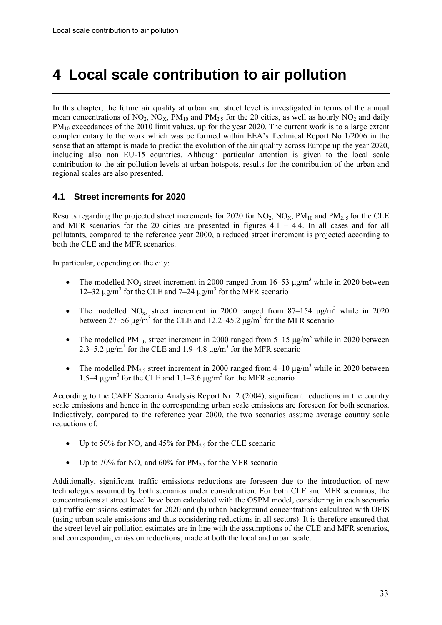## <span id="page-32-0"></span>**4 Local scale contribution to air pollution**

In this chapter, the future air quality at urban and street level is investigated in terms of the annual mean concentrations of  $NO_2$ ,  $NO_X$ ,  $PM_{10}$  and  $PM_{2.5}$  for the 20 cities, as well as hourly  $NO_2$  and daily PM10 exceedances of the 2010 limit values, up for the year 2020. The current work is to a large extent complementary to the work which was performed within EEA's Technical Report No 1/2006 in the sense that an attempt is made to predict the evolution of the air quality across Europe up the year 2020, including also non EU-15 countries. Although particular attention is given to the local scale contribution to the air pollution levels at urban hotspots, results for the contribution of the urban and regional scales are also presented.

## **4.1 Street increments for 2020**

Results regarding the projected street increments for 2020 for NO<sub>2</sub>, NO<sub>3</sub>, PM<sub>10</sub> and PM<sub>2</sub>, for the CLE and MFR scenarios for the 20 cities are presented in figures  $4.1 - 4.4$ . In all cases and for all pollutants, compared to the reference year 2000, a reduced street increment is projected according to both the CLE and the MFR scenarios.

In particular, depending on the city:

- The modelled  $NO_2$  street increment in 2000 ranged from 16–53  $\mu$ g/m<sup>3</sup> while in 2020 between 12–32 μg/m<sup>3</sup> for the CLE and 7–24 μg/m<sup>3</sup> for the MFR scenario
- The modelled  $NO_x$ , street increment in 2000 ranged from 87–154  $\mu$ g/m<sup>3</sup> while in 2020 between 27–56  $\mu$ g/m<sup>3</sup> for the CLE and 12.2–45.2  $\mu$ g/m<sup>3</sup> for the MFR scenario
- The modelled PM<sub>10</sub>, street increment in 2000 ranged from 5–15  $\mu$ g/m<sup>3</sup> while in 2020 between 2.3–5.2 μg/m<sup>3</sup> for the CLE and 1.9–4.8 μg/m<sup>3</sup> for the MFR scenario
- The modelled  $PM_{2.5}$  street increment in 2000 ranged from 4–10  $\mu$ g/m<sup>3</sup> while in 2020 between 1.5–4 μg/m<sup>3</sup> for the CLE and 1.1–3.6 μg/m<sup>3</sup> for the MFR scenario

According to the CAFE Scenario Analysis Report Nr. 2 (2004), significant reductions in the country scale emissions and hence in the corresponding urban scale emissions are foreseen for both scenarios. Indicatively, compared to the reference year 2000, the two scenarios assume average country scale reductions of:

- Up to 50% for NO<sub>x</sub> and 45% for PM<sub>2.5</sub> for the CLE scenario
- Up to 70% for  $NO_x$  and 60% for  $PM_{2.5}$  for the MFR scenario

Additionally, significant traffic emissions reductions are foreseen due to the introduction of new technologies assumed by both scenarios under consideration. For both CLE and MFR scenarios, the concentrations at street level have been calculated with the OSPM model, considering in each scenario (a) traffic emissions estimates for 2020 and (b) urban background concentrations calculated with OFIS (using urban scale emissions and thus considering reductions in all sectors). It is therefore ensured that the street level air pollution estimates are in line with the assumptions of the CLE and MFR scenarios, and corresponding emission reductions, made at both the local and urban scale.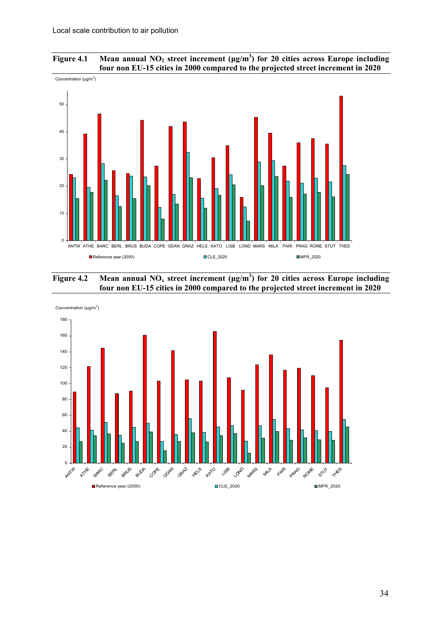



**Figure 4.2** Mean annual NO<sub>x</sub> street increment ( $\mu$ g/m<sup>3</sup>) for 20 cities across Europe including **four non EU-15 cities in 2000 compared to the projected street increment in 2020** 

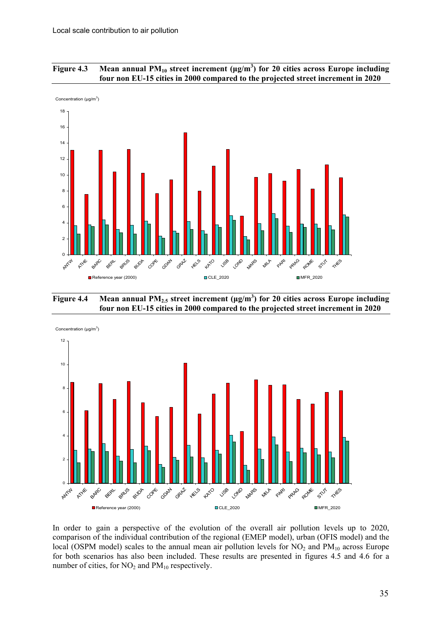



**Figure 4.4 Mean annual PM2.5 street increment (μg/m3 ) for 20 cities across Europe including four non EU-15 cities in 2000 compared to the projected street increment in 2020** 



In order to gain a perspective of the evolution of the overall air pollution levels up to 2020, comparison of the individual contribution of the regional (EMEP model), urban (OFIS model) and the local (OSPM model) scales to the annual mean air pollution levels for  $NO<sub>2</sub>$  and  $PM<sub>10</sub>$  across Europe for both scenarios has also been included. These results are presented in figures 4.5 and 4.6 for a number of cities, for  $NO<sub>2</sub>$  and  $PM<sub>10</sub>$  respectively.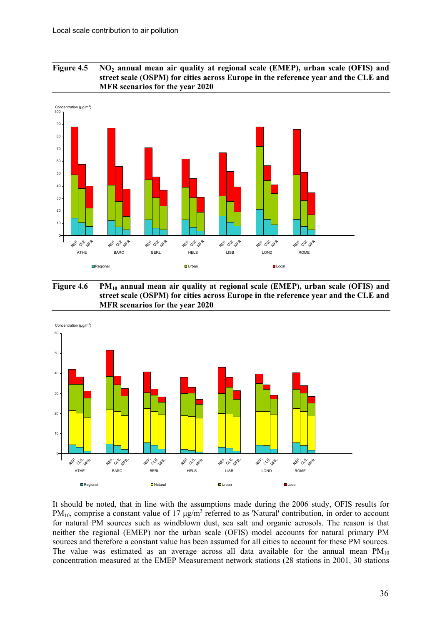



Figure 4.6 PM<sub>10</sub> annual mean air quality at regional scale (EMEP), urban scale (OFIS) and **street scale (OSPM) for cities across Europe in the reference year and the CLE and MFR scenarios for the year 2020** 



It should be noted, that in line with the assumptions made during the 2006 study, OFIS results for PM<sub>10</sub>, comprise a constant value of 17  $\mu$ g/m<sup>3</sup> referred to as 'Natural' contribution, in order to account for natural PM sources such as windblown dust, sea salt and organic aerosols. The reason is that neither the regional (EMEP) nor the urban scale (OFIS) model accounts for natural primary PM sources and therefore a constant value has been assumed for all cities to account for these PM sources. The value was estimated as an average across all data available for the annual mean  $PM_{10}$ concentration measured at the EMEP Measurement network stations (28 stations in 2001, 30 stations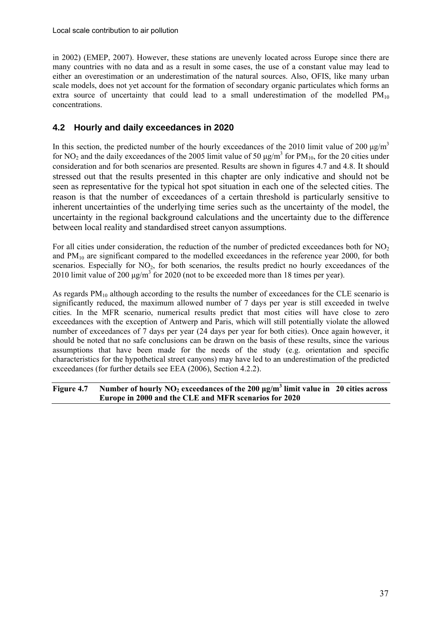<span id="page-36-0"></span>in 2002) (EMEP, 2007). However, these stations are unevenly located across Europe since there are many countries with no data and as a result in some cases, the use of a constant value may lead to either an overestimation or an underestimation of the natural sources. Also, OFIS, like many urban scale models, does not yet account for the formation of secondary organic particulates which forms an extra source of uncertainty that could lead to a small underestimation of the modelled  $PM_{10}$ concentrations.

## **4.2 Hourly and daily exceedances in 2020**

In this section, the predicted number of the hourly exceedances of the 2010 limit value of 200  $\mu$ g/m<sup>3</sup> for NO<sub>2</sub> and the daily exceedances of the 2005 limit value of 50  $\mu$ g/m<sup>3</sup> for PM<sub>10</sub>, for the 20 cities under consideration and for both scenarios are presented. Results are shown in figures 4.7 and 4.8. It should stressed out that the results presented in this chapter are only indicative and should not be seen as representative for the typical hot spot situation in each one of the selected cities. The reason is that the number of exceedances of a certain threshold is particularly sensitive to inherent uncertainties of the underlying time series such as the uncertainty of the model, the uncertainty in the regional background calculations and the uncertainty due to the difference between local reality and standardised street canyon assumptions.

For all cities under consideration, the reduction of the number of predicted exceedances both for  $NO<sub>2</sub>$ and  $PM_{10}$  are significant compared to the modelled exceedances in the reference year 2000, for both scenarios. Especially for  $NO<sub>2</sub>$ , for both scenarios, the results predict no hourly exceedances of the 2010 limit value of 200  $\mu$ g/m<sup>3</sup> for 2020 (not to be exceeded more than 18 times per year).

As regards  $PM_{10}$  although according to the results the number of exceedances for the CLE scenario is significantly reduced, the maximum allowed number of 7 days per year is still exceeded in twelve cities. In the MFR scenario, numerical results predict that most cities will have close to zero exceedances with the exception of Antwerp and Paris, which will still potentially violate the allowed number of exceedances of 7 days per year (24 days per year for both cities). Once again however, it should be noted that no safe conclusions can be drawn on the basis of these results, since the various assumptions that have been made for the needs of the study (e.g. orientation and specific characteristics for the hypothetical street canyons) may have led to an underestimation of the predicted exceedances (for further details see EEA (2006), Section 4.2.2).

**Figure 4.7 Number of hourly NO2 exceedances of the 200 μg/m3 limit value in 20 cities across Europe in 2000 and the CLE and MFR scenarios for 2020**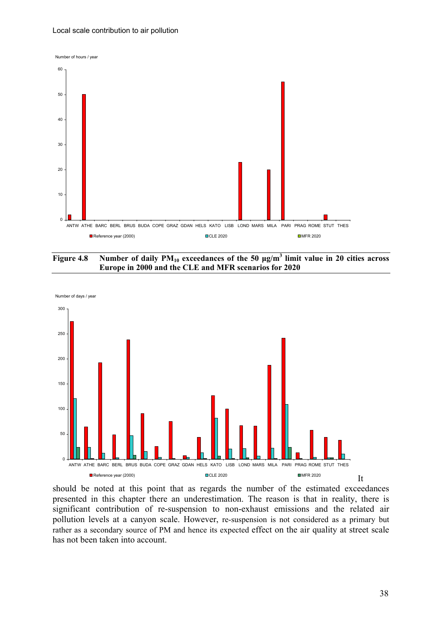#### Local scale contribution to air pollution









should be noted at this point that as regards the number of the estimated exceedances presented in this chapter there an underestimation. The reason is that in reality, there is significant contribution of re-suspension to non-exhaust emissions and the related air pollution levels at a canyon scale. However, re-suspension is not considered as a primary but rather as a secondary source of PM and hence its expected effect on the air quality at street scale has not been taken into account.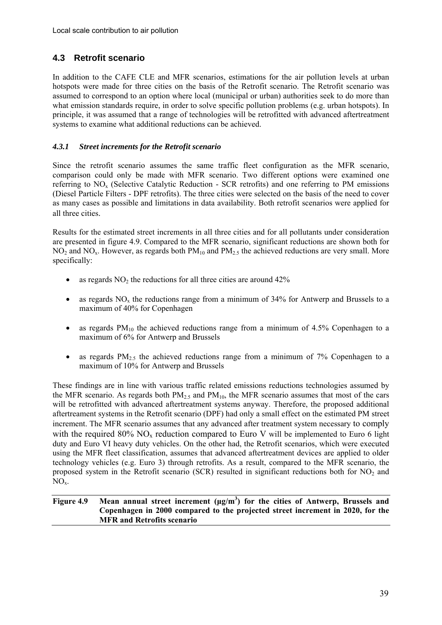## <span id="page-38-0"></span>**4.3 Retrofit scenario**

In addition to the CAFE CLE and MFR scenarios, estimations for the air pollution levels at urban hotspots were made for three cities on the basis of the Retrofit scenario. The Retrofit scenario was assumed to correspond to an option where local (municipal or urban) authorities seek to do more than what emission standards require, in order to solve specific pollution problems (e.g. urban hotspots). In principle, it was assumed that a range of technologies will be retrofitted with advanced aftertreatment systems to examine what additional reductions can be achieved.

### *4.3.1 Street increments for the Retrofit scenario*

Since the retrofit scenario assumes the same traffic fleet configuration as the MFR scenario, comparison could only be made with MFR scenario. Two different options were examined one referring to  $NO<sub>x</sub>$  (Selective Catalytic Reduction - SCR retrofits) and one referring to PM emissions (Diesel Particle Filters - DPF retrofits). The three cities were selected on the basis of the need to cover as many cases as possible and limitations in data availability. Both retrofit scenarios were applied for all three cities.

Results for the estimated street increments in all three cities and for all pollutants under consideration are presented in figure 4.9. Compared to the MFR scenario, significant reductions are shown both for  $NO<sub>2</sub>$  and  $NO<sub>x</sub>$ . However, as regards both  $PM<sub>10</sub>$  and  $PM<sub>2.5</sub>$  the achieved reductions are very small. More specifically:

- as regards  $NO<sub>2</sub>$  the reductions for all three cities are around 42%
- as regards  $NO_x$  the reductions range from a minimum of 34% for Antwerp and Brussels to a maximum of 40% for Copenhagen
- as regards  $PM_{10}$  the achieved reductions range from a minimum of 4.5% Copenhagen to a maximum of 6% for Antwerp and Brussels
- as regards  $PM_{2.5}$  the achieved reductions range from a minimum of 7% Copenhagen to a maximum of 10% for Antwerp and Brussels

These findings are in line with various traffic related emissions reductions technologies assumed by the MFR scenario. As regards both  $PM<sub>2.5</sub>$  and  $PM<sub>10</sub>$ , the MFR scenario assumes that most of the cars will be retrofitted with advanced aftertreatment systems anyway. Therefore, the proposed additional aftertreament systems in the Retrofit scenario (DPF) had only a small effect on the estimated PM street increment. The MFR scenario assumes that any advanced after treatment system necessary to comply with the required 80%  $NO<sub>x</sub>$  reduction compared to Euro V will be implemented to Euro 6 light duty and Euro VI heavy duty vehicles. On the other had, the Retrofit scenarios, which were executed using the MFR fleet classification, assumes that advanced aftertreatment devices are applied to older technology vehicles (e.g. Euro 3) through retrofits. As a result, compared to the MFR scenario, the proposed system in the Retrofit scenario (SCR) resulted in significant reductions both for  $NO<sub>2</sub>$  and  $NO<sub>x</sub>$ .

#### **Figure 4.9 Mean annual street increment (μg/m3 ) for the cities of Antwerp, Brussels and Copenhagen in 2000 compared to the projected street increment in 2020, for the MFR and Retrofits scenario**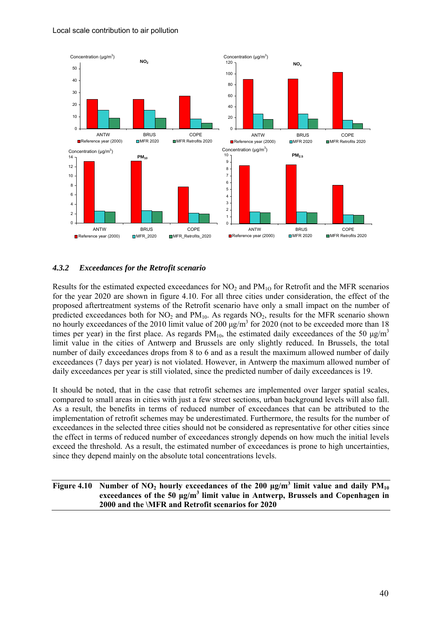<span id="page-39-0"></span>

### *4.3.2 Exceedances for the Retrofit scenario*

Results for the estimated expected exceedances for  $NO_2$  and  $PM_{10}$  for Retrofit and the MFR scenarios for the year 2020 are shown in figure 4.10. For all three cities under consideration, the effect of the proposed aftertreatment systems of the Retrofit scenario have only a small impact on the number of predicted exceedances both for  $NO_2$  and  $PM_{10}$ . As regards  $NO_2$ , results for the MFR scenario shown no hourly exceedances of the 2010 limit value of 200  $\mu$ g/m<sup>3</sup> for 2020 (not to be exceeded more than 18 times per year) in the first place. As regards  $PM_{10}$ , the estimated daily exceedances of the 50  $\mu$ g/m<sup>3</sup> limit value in the cities of Antwerp and Brussels are only slightly reduced. In Brussels, the total number of daily exceedances drops from 8 to 6 and as a result the maximum allowed number of daily exceedances (7 days per year) is not violated. However, in Antwerp the maximum allowed number of daily exceedances per year is still violated, since the predicted number of daily exceedances is 19.

It should be noted, that in the case that retrofit schemes are implemented over larger spatial scales, compared to small areas in cities with just a few street sections, urban background levels will also fall. As a result, the benefits in terms of reduced number of exceedances that can be attributed to the implementation of retrofit schemes may be underestimated. Furthermore, the results for the number of exceedances in the selected three cities should not be considered as representative for other cities since the effect in terms of reduced number of exceedances strongly depends on how much the initial levels exceed the threshold. As a result, the estimated number of exceedances is prone to high uncertainties, since they depend mainly on the absolute total concentrations levels.

**Figure 4.10** Number of NO<sub>2</sub> hourly exceedances of the 200  $\mu$ g/m<sup>3</sup> limit value and daily PM<sub>10</sub> **exceedances of the 50 μg/m3 limit value in Antwerp, Brussels and Copenhagen in 2000 and the \MFR and Retrofit scenarios for 2020**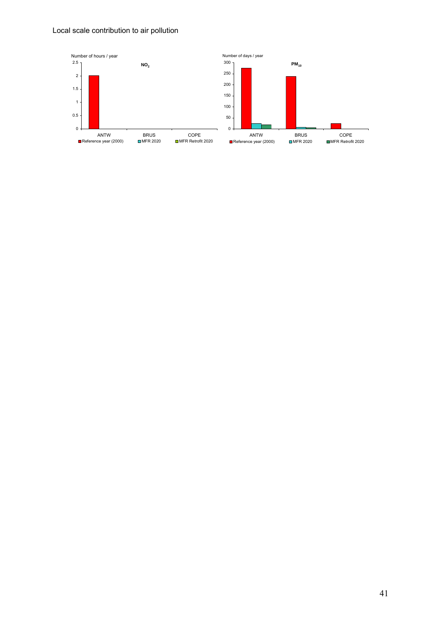#### Local scale contribution to air pollution

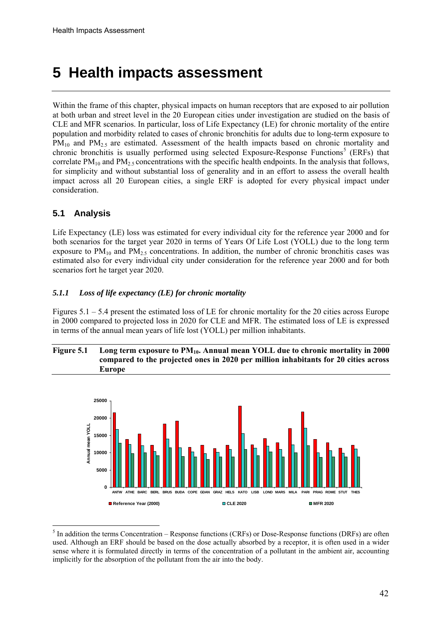## <span id="page-41-0"></span>**5 Health impacts assessment**

Within the frame of this chapter, physical impacts on human receptors that are exposed to air pollution at both urban and street level in the 20 European cities under investigation are studied on the basis of CLE and MFR scenarios. In particular, loss of Life Expectancy (LE) for chronic mortality of the entire population and morbidity related to cases of chronic bronchitis for adults due to long-term exposure to  $PM_{10}$  and  $PM_{2.5}$  are estimated. Assessment of the health impacts based on chronic mortality and chronic bronchitis is usually performed using selected Exposure-Response Functions<sup>[5](#page-41-1)</sup> (ERFs) that correlate  $PM_{10}$  and  $PM_{2.5}$  concentrations with the specific health endpoints. In the analysis that follows, for simplicity and without substantial loss of generality and in an effort to assess the overall health impact across all 20 European cities, a single ERF is adopted for every physical impact under consideration.

## **5.1 Analysis**

<u>.</u>

Life Expectancy (LE) loss was estimated for every individual city for the reference year 2000 and for both scenarios for the target year 2020 in terms of Years Of Life Lost (YOLL) due to the long term exposure to  $PM_{10}$  and  $PM_{2.5}$  concentrations. In addition, the number of chronic bronchitis cases was estimated also for every individual city under consideration for the reference year 2000 and for both scenarios fort he target year 2020.

### *5.1.1 Loss of life expectancy (LE) for chronic mortality*

Figures 5.1 – 5.4 present the estimated loss of LE for chronic mortality for the 20 cities across Europe in 2000 compared to projected loss in 2020 for CLE and MFR. The estimated loss of LE is expressed in terms of the annual mean years of life lost (YOLL) per million inhabitants.

#### Figure 5.1 Long term exposure to PM<sub>10</sub>. Annual mean YOLL due to chronic mortality in 2000 **compared to the projected ones in 2020 per million inhabitants for 20 cities across Europe**



<span id="page-41-1"></span> $<sup>5</sup>$  In addition the terms Concentration – Response functions (CRFs) or Dose-Response functions (DRFs) are often</sup> used. Although an ERF should be based on the dose actually absorbed by a receptor, it is often used in a wider sense where it is formulated directly in terms of the concentration of a pollutant in the ambient air, accounting implicitly for the absorption of the pollutant from the air into the body.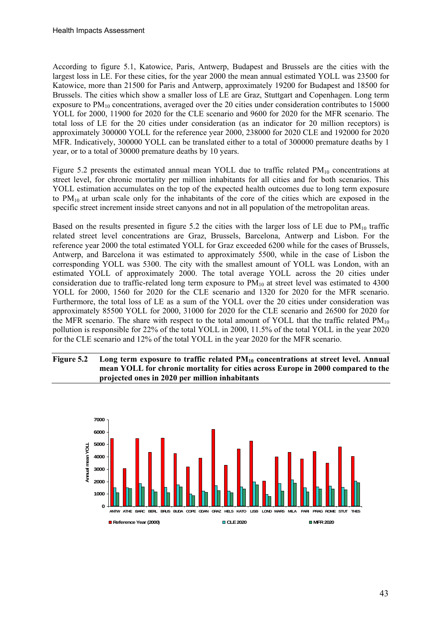According to figure 5.1, Katowice, Paris, Antwerp, Budapest and Brussels are the cities with the largest loss in LE. For these cities, for the year 2000 the mean annual estimated YOLL was 23500 for Katowice, more than 21500 for Paris and Antwerp, approximately 19200 for Budapest and 18500 for Brussels. The cities which show a smaller loss of LE are Graz, Stuttgart and Copenhagen. Long term exposure to PM<sub>10</sub> concentrations, averaged over the 20 cities under consideration contributes to 15000 YOLL for 2000, 11900 for 2020 for the CLE scenario and 9600 for 2020 for the MFR scenario. The total loss of LE for the 20 cities under consideration (as an indicator for 20 million receptors) is approximately 300000 YOLL for the reference year 2000, 238000 for 2020 CLE and 192000 for 2020 MFR. Indicatively, 300000 YOLL can be translated either to a total of 300000 premature deaths by 1 year, or to a total of 30000 premature deaths by 10 years.

Figure 5.2 presents the estimated annual mean YOLL due to traffic related  $PM_{10}$  concentrations at street level, for chronic mortality per million inhabitants for all cities and for both scenarios. This YOLL estimation accumulates on the top of the expected health outcomes due to long term exposure to  $PM_{10}$  at urban scale only for the inhabitants of the core of the cities which are exposed in the specific street increment inside street canyons and not in all population of the metropolitan areas.

Based on the results presented in figure 5.2 the cities with the larger loss of LE due to  $PM_{10}$  traffic related street level concentrations are Graz, Brussels, Barcelona, Antwerp and Lisbon. For the reference year 2000 the total estimated YOLL for Graz exceeded 6200 while for the cases of Brussels, Antwerp, and Barcelona it was estimated to approximately 5500, while in the case of Lisbon the corresponding YOLL was 5300. The city with the smallest amount of YOLL was London, with an estimated YOLL of approximately 2000. The total average YOLL across the 20 cities under consideration due to traffic-related long term exposure to  $PM_{10}$  at street level was estimated to 4300 YOLL for 2000, 1560 for 2020 for the CLE scenario and 1320 for 2020 for the MFR scenario. Furthermore, the total loss of LE as a sum of the YOLL over the 20 cities under consideration was approximately 85500 YOLL for 2000, 31000 for 2020 for the CLE scenario and 26500 for 2020 for the MFR scenario. The share with respect to the total amount of YOLL that the traffic related  $PM_{10}$ pollution is responsible for 22% of the total YOLL in 2000, 11.5% of the total YOLL in the year 2020 for the CLE scenario and 12% of the total YOLL in the year 2020 for the MFR scenario.

#### Figure 5.2 Long term exposure to traffic related PM<sub>10</sub> concentrations at street level. Annual **mean YOLL for chronic mortality for cities across Europe in 2000 compared to the projected ones in 2020 per million inhabitants**

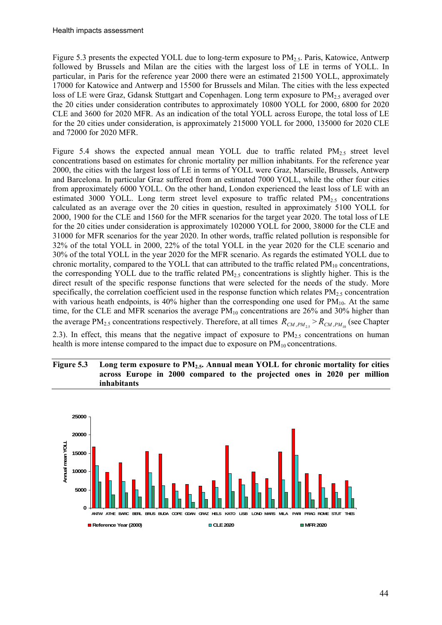Figure 5.3 presents the expected YOLL due to long-term exposure to PM<sub>2.5</sub>. Paris, Katowice, Antwerp followed by Brussels and Milan are the cities with the largest loss of LE in terms of YOLL. In particular, in Paris for the reference year 2000 there were an estimated 21500 YOLL, approximately 17000 for Katowice and Antwerp and 15500 for Brussels and Milan. The cities with the less expected loss of LE were Graz, Gdansk Stuttgart and Copenhagen. Long term exposure to  $PM_2$ , averaged over the 20 cities under consideration contributes to approximately 10800 YOLL for 2000, 6800 for 2020 CLE and 3600 for 2020 MFR. As an indication of the total YOLL across Europe, the total loss of LE for the 20 cities under consideration, is approximately 215000 YOLL for 2000, 135000 for 2020 CLE and 72000 for 2020 MFR.

Figure 5.4 shows the expected annual mean YOLL due to traffic related  $PM_{2.5}$  street level concentrations based on estimates for chronic mortality per million inhabitants. For the reference year 2000, the cities with the largest loss of LE in terms of YOLL were Graz, Marseille, Brussels, Antwerp and Barcelona. In particular Graz suffered from an estimated 7000 YOLL, while the other four cities from approximately 6000 YOLL. On the other hand, London experienced the least loss of LE with an estimated 3000 YOLL. Long term street level exposure to traffic related  $PM_{2.5}$  concentrations calculated as an average over the 20 cities in question, resulted in approximately 5100 YOLL for 2000, 1900 for the CLE and 1560 for the MFR scenarios for the target year 2020. The total loss of LE for the 20 cities under consideration is approximately 102000 YOLL for 2000, 38000 for the CLE and 31000 for MFR scenarios for the year 2020. In other words, traffic related pollution is responsible for 32% of the total YOLL in 2000, 22% of the total YOLL in the year 2020 for the CLE scenario and 30% of the total YOLL in the year 2020 for the MFR scenario. As regards the estimated YOLL due to chronic mortality, compared to the YOLL that can attributed to the traffic related  $PM<sub>10</sub>$  concentrations, the corresponding YOLL due to the traffic related  $PM_{2.5}$  concentrations is slightly higher. This is the direct result of the specific response functions that were selected for the needs of the study. More specifically, the correlation coefficient used in the response function which relates  $PM_{2.5}$  concentration with various heath endpoints, is  $40\%$  higher than the corresponding one used for  $PM_{10}$ . At the same time, for the CLE and MFR scenarios the average  $PM_{10}$  concentrations are 26% and 30% higher than the average PM<sub>2.5</sub> concentrations respectively. Therefore, at all times  $R_{CM,PM_{2.5}} > R_{CM,PM_{10}}$  (see Chapter 2.3). In effect, this means that the negative impact of exposure to  $PM<sub>2.5</sub>$  concentrations on human health is more intense compared to the impact due to exposure on  $PM_{10}$  concentrations.



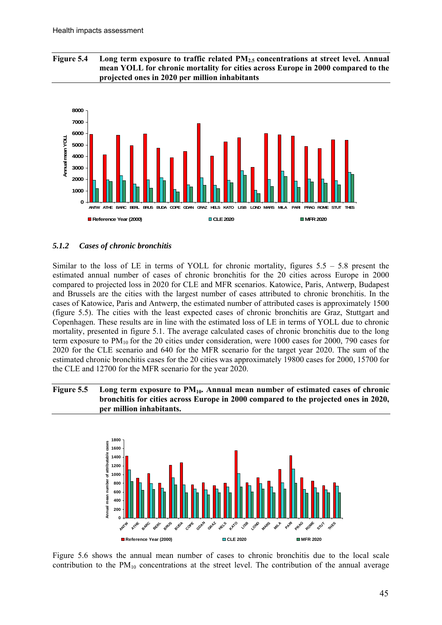<span id="page-44-0"></span>Figure 5.4 Long term exposure to traffic related PM<sub>2.5</sub> concentrations at street level. Annual **mean YOLL for chronic mortality for cities across Europe in 2000 compared to the projected ones in 2020 per million inhabitants** 



#### *5.1.2 Cases of chronic bronchitis*

Similar to the loss of LE in terms of YOLL for chronic mortality, figures  $5.5 - 5.8$  present the estimated annual number of cases of chronic bronchitis for the 20 cities across Europe in 2000 compared to projected loss in 2020 for CLE and MFR scenarios. Katowice, Paris, Antwerp, Budapest and Brussels are the cities with the largest number of cases attributed to chronic bronchitis. In the cases of Katowice, Paris and Antwerp, the estimated number of attributed cases is approximately 1500 (figure 5.5). The cities with the least expected cases of chronic bronchitis are Graz, Stuttgart and Copenhagen. These results are in line with the estimated loss of LE in terms of YOLL due to chronic mortality, presented in figure 5.1. The average calculated cases of chronic bronchitis due to the long term exposure to  $PM_{10}$  for the 20 cities under consideration, were 1000 cases for 2000, 790 cases for 2020 for the CLE scenario and 640 for the MFR scenario for the target year 2020. The sum of the estimated chronic bronchitis cases for the 20 cities was approximately 19800 cases for 2000, 15700 for the CLE and 12700 for the MFR scenario for the year 2020.

#### Figure 5.5 Long term exposure to PM<sub>10</sub>. Annual mean number of estimated cases of chronic **bronchitis for cities across Europe in 2000 compared to the projected ones in 2020, per million inhabitants.**



Figure 5.6 shows the annual mean number of cases to chronic bronchitis due to the local scale contribution to the  $PM_{10}$  concentrations at the street level. The contribution of the annual average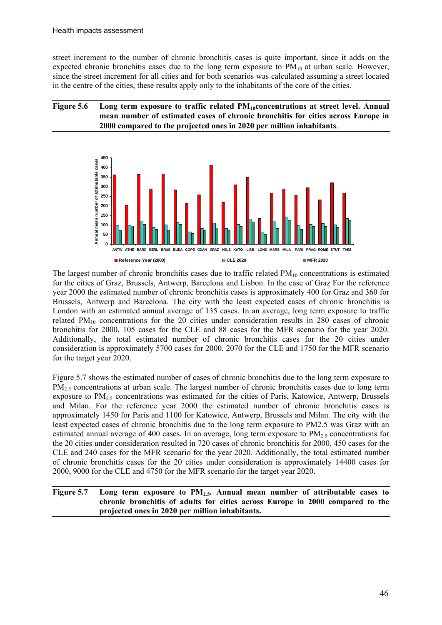street increment to the number of chronic bronchitis cases is quite important, since it adds on the expected chronic bronchitis cases due to the long term exposure to  $PM_{10}$  at urban scale. However, since the street increment for all cities and for both scenarios was calculated assuming a street located in the centre of the cities, these results apply only to the inhabitants of the core of the cities.

#### Figure 5.6 Long term exposure to traffic related PM<sub>10</sub>concentrations at street level. Annual **mean number of estimated cases of chronic bronchitis for cities across Europe in 2000 compared to the projected ones in 2020 per million inhabitants**.



The largest number of chronic bronchitis cases due to traffic related  $PM_{10}$  concentrations is estimated for the cities of Graz, Brussels, Antwerp, Barcelona and Lisbon. In the case of Graz For the reference year 2000 the estimated number of chronic bronchitis cases is approximately 400 for Graz and 360 for Brussels, Antwerp and Barcelona. The city with the least expected cases of chronic bronchitis is London with an estimated annual average of 135 cases. In an average, long term exposure to traffic related  $PM_{10}$  concentrations for the 20 cities under consideration results in 280 cases of chronic bronchitis for 2000, 105 cases for the CLE and 88 cases for the MFR scenario for the year 2020. Additionally, the total estimated number of chronic bronchitis cases for the 20 cities under consideration is approximately 5700 cases for 2000, 2070 for the CLE and 1750 for the MFR scenario for the target year 2020.

Figure 5.7 shows the estimated number of cases of chronic bronchitis due to the long term exposure to  $PM<sub>2.5</sub>$  concentrations at urban scale. The largest number of chronic bronchitis cases due to long term exposure to  $PM_{2.5}$  concentrations was estimated for the cities of Paris, Katowice, Antwerp, Brussels and Milan. For the reference year 2000 the estimated number of chronic bronchitis cases is approximately 1450 for Paris and 1100 for Katowice, Antwerp, Brussels and Milan. The city with the least expected cases of chronic bronchitis due to the long term exposure to PM2.5 was Graz with an estimated annual average of 400 cases. In an average, long term exposure to  $PM_{2.5}$  concentrations for the 20 cities under consideration resulted in 720 cases of chronic bronchitis for 2000, 450 cases for the CLE and 240 cases for the MFR scenario for the year 2020. Additionally, the total estimated number of chronic bronchitis cases for the 20 cities under consideration is approximately 14400 cases for 2000, 9000 for the CLE and 4750 for the MFR scenario for the target year 2020.

#### Figure 5.7 Long term exposure to PM<sub>2.5</sub>. Annual mean number of attributable cases to **chronic bronchitis of adults for cities across Europe in 2000 compared to the projected ones in 2020 per million inhabitants.**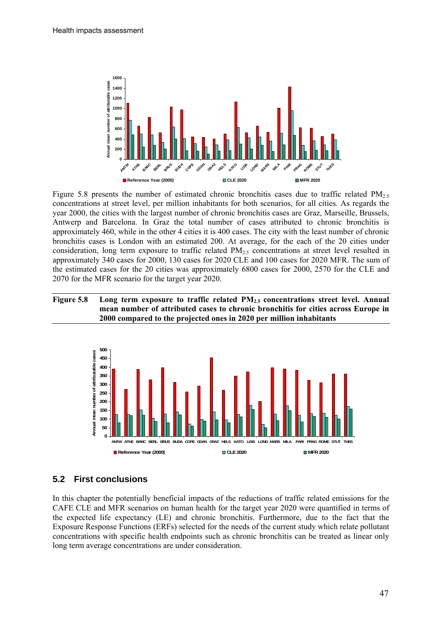<span id="page-46-0"></span>

Figure 5.8 presents the number of estimated chronic bronchitis cases due to traffic related  $PM_{2.5}$ concentrations at street level, per million inhabitants for both scenarios, for all cities. As regards the year 2000, the cities with the largest number of chronic bronchitis cases are Graz, Marseille, Brussels, Antwerp and Barcelona. In Graz the total number of cases attributed to chronic bronchitis is approximately 460, while in the other 4 cities it is 400 cases. The city with the least number of chronic bronchitis cases is London with an estimated 200. At average, for the each of the 20 cities under consideration, long term exposure to traffic related  $PM<sub>2.5</sub>$  concentrations at street level resulted in approximately 340 cases for 2000, 130 cases for 2020 CLE and 100 cases for 2020 MFR. The sum of the estimated cases for the 20 cities was approximately 6800 cases for 2000, 2570 for the CLE and 2070 for the MFR scenario for the target year 2020.

#### Figure 5.8 Long term exposure to traffic related PM<sub>2.5</sub> concentrations street level. Annual **mean number of attributed cases to chronic bronchitis for cities across Europe in 2000 compared to the projected ones in 2020 per million inhabitants**



## **5.2 First conclusions**

In this chapter the potentially beneficial impacts of the reductions of traffic related emissions for the CAFE CLE and MFR scenarios on human health for the target year 2020 were quantified in terms of the expected life expectancy (LE) and chronic bronchitis. Furthermore, due to the fact that the Exposure Response Functions (ERFs) selected for the needs of the current study which relate pollutant concentrations with specific health endpoints such as chronic bronchitis can be treated as linear only long term average concentrations are under consideration.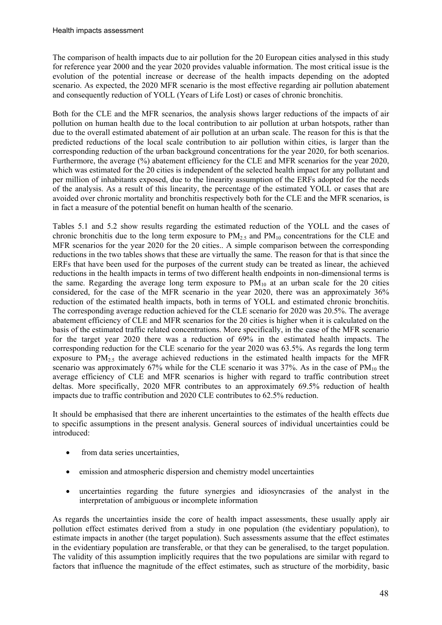The comparison of health impacts due to air pollution for the 20 European cities analysed in this study for reference year 2000 and the year 2020 provides valuable information. The most critical issue is the evolution of the potential increase or decrease of the health impacts depending on the adopted scenario. As expected, the 2020 MFR scenario is the most effective regarding air pollution abatement and consequently reduction of YOLL (Years of Life Lost) or cases of chronic bronchitis.

Both for the CLE and the MFR scenarios, the analysis shows larger reductions of the impacts of air pollution on human health due to the local contribution to air pollution at urban hotspots, rather than due to the overall estimated abatement of air pollution at an urban scale. The reason for this is that the predicted reductions of the local scale contribution to air pollution within cities, is larger than the corresponding reduction of the urban background concentrations for the year 2020, for both scenarios. Furthermore, the average (%) abatement efficiency for the CLE and MFR scenarios for the year 2020, which was estimated for the 20 cities is independent of the selected health impact for any pollutant and per million of inhabitants exposed, due to the linearity assumption of the ERFs adopted for the needs of the analysis. As a result of this linearity, the percentage of the estimated YOLL or cases that are avoided over chronic mortality and bronchitis respectively both for the CLE and the MFR scenarios, is in fact a measure of the potential benefit on human health of the scenario.

Tables 5.1 and 5.2 show results regarding the estimated reduction of the YOLL and the cases of chronic bronchitis due to the long term exposure to  $PM_{2.5}$  and  $PM_{10}$  concentrations for the CLE and MFR scenarios for the year 2020 for the 20 cities.. A simple comparison between the corresponding reductions in the two tables shows that these are virtually the same. The reason for that is that since the ERFs that have been used for the purposes of the current study can be treated as linear, the achieved reductions in the health impacts in terms of two different health endpoints in non-dimensional terms is the same. Regarding the average long term exposure to  $PM_{10}$  at an urban scale for the 20 cities considered, for the case of the MFR scenario in the year 2020, there was an approximately 36% reduction of the estimated health impacts, both in terms of YOLL and estimated chronic bronchitis. The corresponding average reduction achieved for the CLE scenario for 2020 was 20.5%. The average abatement efficiency of CLE and MFR scenarios for the 20 cities is higher when it is calculated on the basis of the estimated traffic related concentrations. More specifically, in the case of the MFR scenario for the target year 2020 there was a reduction of 69% in the estimated health impacts. The corresponding reduction for the CLE scenario for the year 2020 was 63.5%. As regards the long term exposure to  $PM_{2.5}$  the average achieved reductions in the estimated health impacts for the MFR scenario was approximately 67% while for the CLE scenario it was  $37\%$ . As in the case of PM<sub>10</sub> the average efficiency of CLE and MFR scenarios is higher with regard to traffic contribution street deltas. More specifically, 2020 MFR contributes to an approximately 69.5% reduction of health impacts due to traffic contribution and 2020 CLE contributes to 62.5% reduction.

It should be emphasised that there are inherent uncertainties to the estimates of the health effects due to specific assumptions in the present analysis. General sources of individual uncertainties could be introduced:

- from data series uncertainties.
- emission and atmospheric dispersion and chemistry model uncertainties
- uncertainties regarding the future synergies and idiosyncrasies of the analyst in the interpretation of ambiguous or incomplete information

As regards the uncertainties inside the core of health impact assessments, these usually apply air pollution effect estimates derived from a study in one population (the evidentiary population), to estimate impacts in another (the target population). Such assessments assume that the effect estimates in the evidentiary population are transferable, or that they can be generalised, to the target population. The validity of this assumption implicitly requires that the two populations are similar with regard to factors that influence the magnitude of the effect estimates, such as structure of the morbidity, basic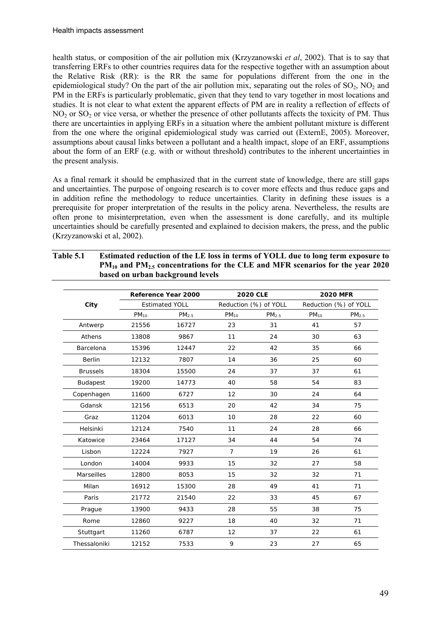health status, or composition of the air pollution mix (Krzyzanowski *et al*, 2002). That is to say that transferring ERFs to other countries requires data for the respective together with an assumption about the Relative Risk (RR): is the RR the same for populations different from the one in the epidemiological study? On the part of the air pollution mix, separating out the roles of  $SO<sub>2</sub>$ , NO<sub>2</sub> and PM in the ERFs is particularly problematic, given that they tend to vary together in most locations and studies. It is not clear to what extent the apparent effects of PM are in reality a reflection of effects of  $NO<sub>2</sub>$  or  $SO<sub>2</sub>$  or vice versa, or whether the presence of other pollutants affects the toxicity of PM. Thus there are uncertainties in applying ERFs in a situation where the ambient pollutant mixture is different from the one where the original epidemiological study was carried out (ExternE, 2005). Moreover, assumptions about causal links between a pollutant and a health impact, slope of an ERF, assumptions about the form of an ERF (e.g. with or without threshold) contributes to the inherent uncertainties in the present analysis.

As a final remark it should be emphasized that in the current state of knowledge, there are still gaps and uncertainties. The purpose of ongoing research is to cover more effects and thus reduce gaps and in addition refine the methodology to reduce uncertainties. Clarity in defining these issues is a prerequisite for proper interpretation of the results in the policy arena. Nevertheless, the results are often prone to misinterpretation, even when the assessment is done carefully, and its multiple uncertainties should be carefully presented and explained to decision makers, the press, and the public (Krzyzanowski et al, 2002).

**Table 5.1 Estimated reduction of the LE loss in terms of YOLL due to long term exposure to** 

|                 |           | Reference Year 2000   |                | <b>2020 CLE</b>       | <b>2020 MFR</b><br>Reduction (%) of YOLL |                   |
|-----------------|-----------|-----------------------|----------------|-----------------------|------------------------------------------|-------------------|
| City            |           | <b>Estimated YOLL</b> |                | Reduction (%) of YOLL |                                          |                   |
|                 | $PM_{10}$ | PM <sub>2.5</sub>     | $PM_{10}$      | PM <sub>2.5</sub>     | $PM_{10}$                                | PM <sub>2.5</sub> |
| Antwerp         | 21556     | 16727                 | 23             | 31                    | 41                                       | 57                |
| Athens          | 13808     | 9867                  | 11             | 24                    | 30                                       | 63                |
| Barcelona       | 15396     | 12447                 | 22             | 42                    | 35                                       | 66                |
| Berlin          | 12132     | 7807                  | 14             | 36                    | 25                                       | 60                |
| <b>Brussels</b> | 18304     | 15500                 | 24             | 37                    | 37                                       | 61                |
| <b>Budapest</b> | 19200     | 14773                 | 40             | 58                    | 54                                       | 83                |
| Copenhagen      | 11600     | 6727                  | 12             | 30                    | 24                                       | 64                |
| Gdansk          | 12156     | 6513                  | 20             | 42                    | 34                                       | 75                |
| Graz            | 11204     | 6013                  | 10             | 28                    | 22                                       | 60                |
| Helsinki        | 12124     | 7540                  | 11             | 24                    | 28                                       | 66                |
| Katowice        | 23464     | 17127                 | 34             | 44                    | 54                                       | 74                |
| Lisbon          | 12224     | 7927                  | $\overline{7}$ | 19                    | 26                                       | 61                |
| London          | 14004     | 9933                  | 15             | 32                    | 27                                       | 58                |
| Marseilles      | 12800     | 8053                  | 15             | 32                    | 32                                       | 71                |
| Milan           | 16912     | 15300                 | 28             | 49                    | 41                                       | 71                |
| Paris           | 21772     | 21540                 | 22             | 33                    | 45                                       | 67                |
| Prague          | 13900     | 9433                  | 28             | 55                    | 38                                       | 75                |
| Rome            | 12860     | 9227                  | 18             | 40                    | 32                                       | 71                |
| Stuttgart       | 11260     | 6787                  | 12             | 37                    | 22                                       | 61                |
| Thessaloniki    | 12152     | 7533                  | 9              | 23                    | 27                                       | 65                |

| $PM_{10}$ and $PM_{2.5}$ concentrations for the CLE and MFR scenarios for the year 2020 |  |  |  |
|-----------------------------------------------------------------------------------------|--|--|--|
| based on urban background levels                                                        |  |  |  |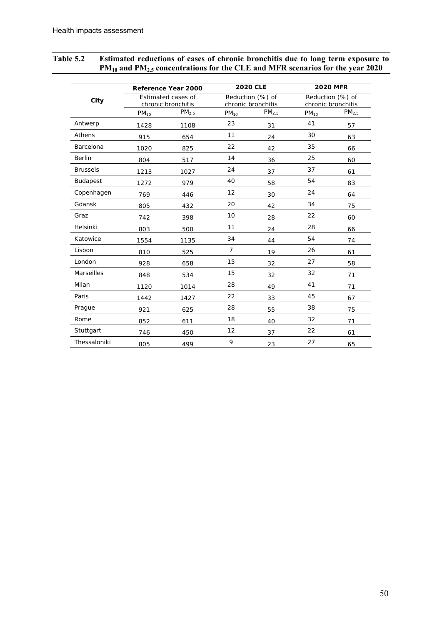| City              | Reference Year 2000<br>Estimated cases of<br>chronic bronchitis |      | <b>2020 CLE</b><br>Reduction (%) of<br>chronic bronchitis |    | <b>2020 MFR</b><br>Reduction (%) of<br>chronic bronchitis |    |
|-------------------|-----------------------------------------------------------------|------|-----------------------------------------------------------|----|-----------------------------------------------------------|----|
|                   |                                                                 |      |                                                           |    |                                                           |    |
|                   | Antwerp                                                         | 1428 | 1108                                                      | 23 | 31                                                        | 41 |
| Athens            | 915                                                             | 654  | 11                                                        | 24 | 30                                                        | 63 |
| Barcelona         | 1020                                                            | 825  | 22                                                        | 42 | 35                                                        | 66 |
| <b>Berlin</b>     | 804                                                             | 517  | 14                                                        | 36 | 25                                                        | 60 |
| <b>Brussels</b>   | 1213                                                            | 1027 | 24                                                        | 37 | 37                                                        | 61 |
| Budapest          | 1272                                                            | 979  | 40                                                        | 58 | 54                                                        | 83 |
| Copenhagen        | 769                                                             | 446  | 12                                                        | 30 | 24                                                        | 64 |
| Gdansk            | 805                                                             | 432  | 20                                                        | 42 | 34                                                        | 75 |
| Graz              | 742                                                             | 398  | 10                                                        | 28 | 22                                                        | 60 |
| Helsinki          | 803                                                             | 500  | 11                                                        | 24 | 28                                                        | 66 |
| Katowice          | 1554                                                            | 1135 | 34                                                        | 44 | 54                                                        | 74 |
| Lisbon            | 810                                                             | 525  | $\overline{7}$                                            | 19 | 26                                                        | 61 |
| London            | 928                                                             | 658  | 15                                                        | 32 | 27                                                        | 58 |
| <b>Marseilles</b> | 848                                                             | 534  | 15                                                        | 32 | 32                                                        | 71 |
| Milan             | 1120                                                            | 1014 | 28                                                        | 49 | 41                                                        | 71 |
| Paris             | 1442                                                            | 1427 | 22                                                        | 33 | 45                                                        | 67 |
| Prague            | 921                                                             | 625  | 28                                                        | 55 | 38                                                        | 75 |
| Rome              | 852                                                             | 611  | 18                                                        | 40 | 32                                                        | 71 |
| Stuttgart         | 746                                                             | 450  | 12                                                        | 37 | 22                                                        | 61 |
| Thessaloniki      | 805                                                             | 499  | 9                                                         | 23 | 27                                                        | 65 |

## **Table 5.2 Estimated reductions of cases of chronic bronchitis due to long term exposure to PM10 and PM2.5 concentrations for the CLE and MFR scenarios for the year 2020**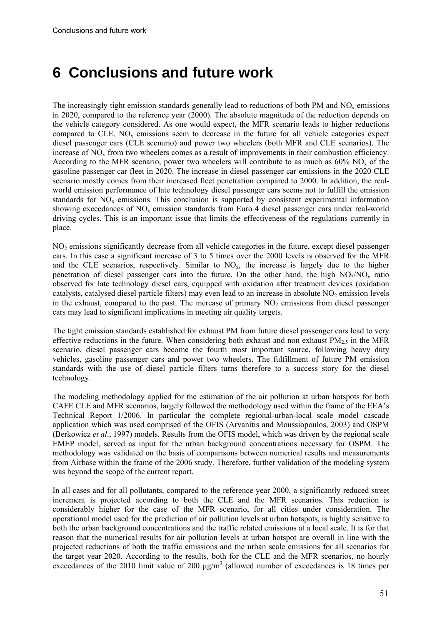## <span id="page-50-0"></span>**6 Conclusions and future work**

The increasingly tight emission standards generally lead to reductions of both PM and  $NO<sub>x</sub>$  emissions in 2020, compared to the reference year (2000). The absolute magnitude of the reduction depends on the vehicle category considered. As one would expect, the MFR scenario leads to higher reductions compared to CLE.  $NO<sub>x</sub>$  emissions seem to decrease in the future for all vehicle categories expect diesel passenger cars (CLE scenario) and power two wheelers (both MFR and CLE scenarios). The increase of NO<sub>x</sub> from two wheelers comes as a result of improvements in their combustion efficiency. According to the MFR scenario, power two wheelers will contribute to as much as  $60\%$  NO<sub>x</sub> of the gasoline passenger car fleet in 2020. The increase in diesel passenger car emissions in the 2020 CLE scenario mostly comes from their increased fleet penetration compared to 2000. In addition, the realworld emission performance of late technology diesel passenger cars seems not to fulfill the emission standards for  $NO_x$  emissions. This conclusion is supported by consistent experimental information showing exceedances of  $NO<sub>x</sub>$  emission standards from Euro 4 diesel passenger cars under real-world driving cycles. This is an important issue that limits the effectiveness of the regulations currently in place.

NO2 emissions significantly decrease from all vehicle categories in the future, except diesel passenger cars. In this case a significant increase of 3 to 5 times over the 2000 levels is observed for the MFR and the CLE scenarios, respectively. Similar to  $NO<sub>x</sub>$ , the increase is largely due to the higher penetration of diesel passenger cars into the future. On the other hand, the high  $NO<sub>2</sub>/NO<sub>x</sub>$  ratio observed for late technology diesel cars, equipped with oxidation after treatment devices (oxidation catalysts, catalysed diesel particle filters) may even lead to an increase in absolute  $NO<sub>2</sub>$  emission levels in the exhaust, compared to the past. The increase of primary  $NO<sub>2</sub>$  emissions from diesel passenger cars may lead to significant implications in meeting air quality targets.

The tight emission standards established for exhaust PM from future diesel passenger cars lead to very effective reductions in the future. When considering both exhaust and non exhaust  $PM<sub>2.5</sub>$  in the MFR scenario, diesel passenger cars become the fourth most important source, following heavy duty vehicles, gasoline passenger cars and power two wheelers. The fulfillment of future PM emission standards with the use of diesel particle filters turns therefore to a success story for the diesel technology.

The modeling methodology applied for the estimation of the air pollution at urban hotspots for both CAFE CLE and MFR scenarios, largely followed the methodology used within the frame of the EEA's Technical Report 1/2006. In particular the complete regional-urban-local scale model cascade application which was used comprised of the OFIS (Arvanitis and Moussiopoulos, 2003) and OSPM (Berkowicz *et al*., 1997) models. Results from the OFIS model, which was driven by the regional scale EMEP model, served as input for the urban background concentrations necessary for OSPM. The methodology was validated on the basis of comparisons between numerical results and measurements from Airbase within the frame of the 2006 study. Therefore, further validation of the modeling system was beyond the scope of the current report.

In all cases and for all pollutants, compared to the reference year 2000, a significantly reduced street increment is projected according to both the CLE and the MFR scenarios. This reduction is considerably higher for the case of the MFR scenario, for all cities under consideration. The operational model used for the prediction of air pollution levels at urban hotspots, is highly sensitive to both the urban background concentrations and the traffic related emissions at a local scale. It is for that reason that the numerical results for air pollution levels at urban hotspot are overall in line with the projected reductions of both the traffic emissions and the urban scale emissions for all scenarios for the target year 2020. According to the results, both for the CLE and the MFR scenarios, no hourly exceedances of the 2010 limit value of 200  $\mu$ g/m<sup>3</sup> (allowed number of exceedances is 18 times per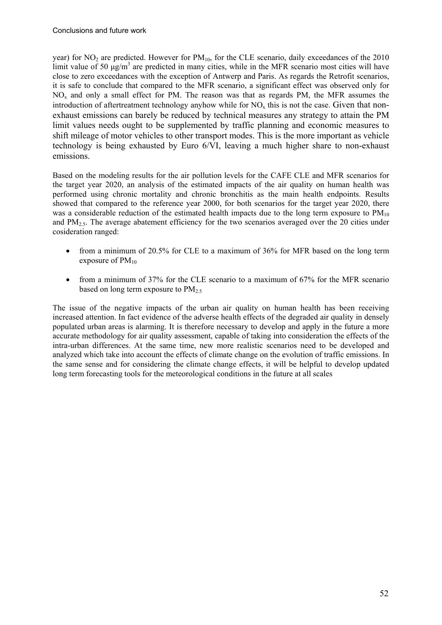year) for  $NO<sub>2</sub>$  are predicted. However for  $PM<sub>10</sub>$ , for the CLE scenario, daily exceedances of the 2010 limit value of 50  $\mu$ g/m<sup>3</sup> are predicted in many cities, while in the MFR scenario most cities will have close to zero exceedances with the exception of Antwerp and Paris. As regards the Retrofit scenarios, it is safe to conclude that compared to the MFR scenario, a significant effect was observed only for NOx and only a small effect for PM. The reason was that as regards PM, the MFR assumes the introduction of aftertreatment technology anyhow while for  $NO<sub>x</sub>$  this is not the case. Given that nonexhaust emissions can barely be reduced by technical measures any strategy to attain the PM limit values needs ought to be supplemented by traffic planning and economic measures to shift mileage of motor vehicles to other transport modes. This is the more important as vehicle technology is being exhausted by Euro 6/VI, leaving a much higher share to non-exhaust emissions.

Based on the modeling results for the air pollution levels for the CAFE CLE and MFR scenarios for the target year 2020, an analysis of the estimated impacts of the air quality on human health was performed using chronic mortality and chronic bronchitis as the main health endpoints. Results showed that compared to the reference year 2000, for both scenarios for the target year 2020, there was a considerable reduction of the estimated health impacts due to the long term exposure to  $PM_{10}$ and  $PM<sub>2.5</sub>$ . The average abatement efficiency for the two scenarios averaged over the 20 cities under cosideration ranged:

- from a minimum of 20.5% for CLE to a maximum of 36% for MFR based on the long term exposure of  $PM_{10}$
- from a minimum of 37% for the CLE scenario to a maximum of 67% for the MFR scenario based on long term exposure to  $PM_2$ .

The issue of the negative impacts of the urban air quality on human health has been receiving increased attention. In fact evidence of the adverse health effects of the degraded air quality in densely populated urban areas is alarming. It is therefore necessary to develop and apply in the future a more accurate methodology for air quality assessment, capable of taking into consideration the effects of the intra-urban differences. At the same time, new more realistic scenarios need to be developed and analyzed which take into account the effects of climate change on the evolution of traffic emissions. In the same sense and for considering the climate change effects, it will be helpful to develop updated long term forecasting tools for the meteorological conditions in the future at all scales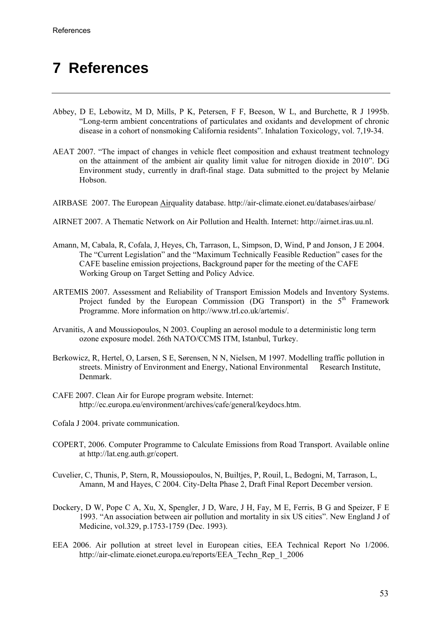# <span id="page-52-0"></span>**7 References**

- Abbey, D E, Lebowitz, M D, Mills, P K, Petersen, F F, Beeson, W L, and Burchette, R J 1995b. "Long-term ambient concentrations of particulates and oxidants and development of chronic disease in a cohort of nonsmoking California residents". Inhalation Toxicology, vol. 7,19-34.
- AEAT 2007. "The impact of changes in vehicle fleet composition and exhaust treatment technology on the attainment of the ambient air quality limit value for nitrogen dioxide in 2010". DG Environment study, currently in draft-final stage. Data submitted to the project by Melanie Hobson.
- AIRBASE 2007. The European Airquality database. http://air-climate.eionet.eu/databases/airbase/
- AIRNET 2007. A Thematic Network on Air Pollution and Health. Internet: http://airnet.iras.uu.nl.
- Amann, M, Cabala, R, Cofala, J, Heyes, Ch, Tarrason, L, Simpson, D, Wind, P and Jonson, J E 2004. The "Current Legislation" and the "Maximum Technically Feasible Reduction" cases for the CAFE baseline emission projections, Background paper for the meeting of the CAFE Working Group on Target Setting and Policy Advice.
- ARTEMIS 2007. Assessment and Reliability of Transport Emission Models and Inventory Systems. Project funded by the European Commission (DG Transport) in the  $5<sup>th</sup>$  Framework Programme. More information on http://www.trl.co.uk/artemis/.
- Arvanitis, A and Moussiopoulos, N 2003. Coupling an aerosol module to a deterministic long term ozone exposure model. 26th NATO/CCMS ITM, Istanbul, Turkey.
- Berkowicz, R, Hertel, O, Larsen, S E, Sørensen, N N, Nielsen, M 1997. Modelling traffic pollution in streets. Ministry of Environment and Energy, National Environmental Research Institute, Denmark.
- CAFE 2007. Clean Air for Europe program website. Internet: http://ec.europa.eu/environment/archives/cafe/general/keydocs.htm.
- Cofala J 2004. private communication.
- COPERT, 2006. Computer Programme to Calculate Emissions from Road Transport. Available online at http://lat.eng.auth.gr/copert.
- Cuvelier, C, Thunis, P, Stern, R, Moussiopoulos, N, Builtjes, P, Rouil, L, Bedogni, M, Tarrason, L, Amann, M and Hayes, C 2004. City-Delta Phase 2, Draft Final Report December version.
- Dockery, D W, Pope C A, Xu, X, Spengler, J D, Ware, J H, Fay, M E, Ferris, B G and Speizer, F E 1993. "An association between air pollution and mortality in six US cities". New England J of Medicine, vol.329, p.1753-1759 (Dec. 1993).
- EEA 2006. Air pollution at street level in European cities, EEA Technical Report No 1/2006. http://air-climate.eionet.europa.eu/reports/EEA\_Techn\_Rep\_1\_2006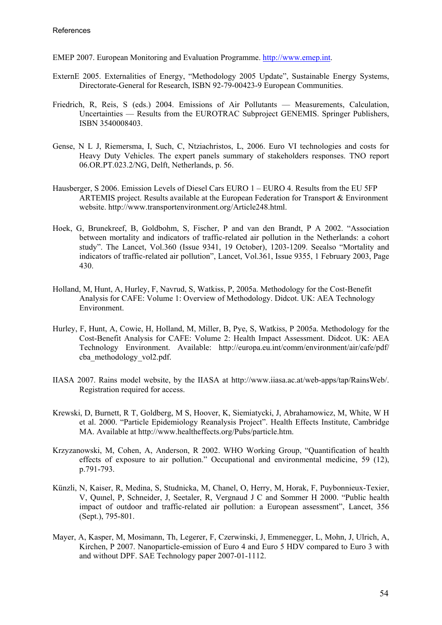- EMEP 2007. European Monitoring and Evaluation Programme. [http://www.emep.int](http://www.emep.int/).
- ExternE 2005. Externalities of Energy, "Methodology 2005 Update", Sustainable Energy Systems, Directorate-General for Research, ISBN 92-79-00423-9 European Communities.
- Friedrich, R, Reis, S (eds.) 2004. Emissions of Air Pollutants Measurements, Calculation, Uncertainties — Results from the EUROTRAC Subproject GENEMIS. Springer Publishers, ISBN 3540008403.
- Gense, N L J, Riemersma, I, Such, C, Ntziachristos, L, 2006. Euro VI technologies and costs for Heavy Duty Vehicles. The expert panels summary of stakeholders responses. TNO report 06.OR.PT.023.2/NG, Delft, Netherlands, p. 56.
- Hausberger, S 2006. Emission Levels of Diesel Cars EURO 1 EURO 4. Results from the EU 5FP ARTEMIS project. Results available at the European Federation for Transport & Environment website. http://www.transportenvironment.org/Article248.html.
- Hoek, G, Brunekreef, B, Goldbohm, S, Fischer, P and van den Brandt, P A 2002. "Association between mortality and indicators of traffic-related air pollution in the Netherlands: a cohort study". The Lancet, Vol.360 (Issue 9341, 19 October), 1203-1209. Seealso "Mortality and indicators of traffic-related air pollution", Lancet, Vol.361, Issue 9355, 1 February 2003, Page 430.
- Holland, M, Hunt, A, Hurley, F, Navrud, S, Watkiss, P, 2005a. Methodology for the Cost-Benefit Analysis for CAFE: Volume 1: Overview of Methodology. Didcot. UK: AEA Technology Environment.
- Hurley, F, Hunt, A, Cowie, H, Holland, M, Miller, B, Pye, S, Watkiss, P 2005a. Methodology for the Cost-Benefit Analysis for CAFE: Volume 2: Health Impact Assessment. Didcot. UK: AEA Technology Environment. Available: <http://europa.eu.int/comm/environment/air/cafe/pdf/> cba\_methodology\_vol2.pdf.
- IIASA 2007. Rains model website, by the IIASA at http://www.iiasa.ac.at/web-apps/tap/RainsWeb/. Registration required for access.
- Krewski, D, Burnett, R T, Goldberg, M S, Hoover, K, Siemiatycki, J, Abrahamowicz, M, White, W H et al. 2000. "Particle Epidemiology Reanalysis Project". Health Effects Institute, Cambridge MA. Available at http://www.healtheffects.org/Pubs/particle.htm.
- Krzyzanowski, M, Cohen, A, Anderson, R 2002. WHO Working Group, "Quantification of health effects of exposure to air pollution." Occupational and environmental medicine, 59 (12), p.791-793.
- Künzli, N, Kaiser, R, Medina, S, Studnicka, M, Chanel, O, Herry, M, Horak, F, Puybonnieux-Texier, V, Quιnel, P, Schneider, J, Seetaler, R, Vergnaud J C and Sommer H 2000. "Public health impact of outdoor and traffic-related air pollution: a European assessment", Lancet, 356 (Sept.), 795-801.
- Mayer, A, Kasper, M, Mosimann, Th, Legerer, F, Czerwinski, J, Emmenegger, L, Mohn, J, Ulrich, A, Kirchen, P 2007. Nanoparticle-emission of Euro 4 and Euro 5 HDV compared to Euro 3 with and without DPF. SAE Technology paper 2007-01-1112.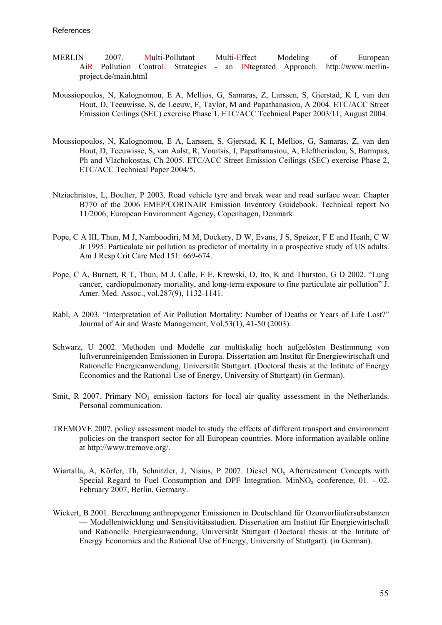- MERLIN 2007. Multi-Pollutant Multi-Effect Modeling of European AiR Pollution ControL Strategies - an INtegrated Approach. http://www.merlinproject.de/main.html
- Moussiopoulos, N, Kalognomou, E A, Mellios, G, Samaras, Z, Larssen, S, Gjerstad, K I, van den Hout, D, Teeuwisse, S, de Leeuw, F, Taylor, M and Papathanasiou, A 2004. ETC/ACC Street Emission Ceilings (SEC) exercise Phase 1, ETC/ACC Technical Paper 2003/11, August 2004.
- Moussiopoulos, N, Kalognomou, E A, Larssen, S, Gjerstad, K I, Mellios, G, Samaras, Z, van den Hout, D, Teeuwisse, S, van Aalst, R, Vouitsis, I, Papathanasiou, A, Eleftheriadou, S, Barmpas, Ph and Vlachokostas, Ch 2005. ETC/ACC Street Emission Ceilings (SEC) exercise Phase 2, ETC/ACC Technical Paper 2004/5.
- Ntziachristos, L, Boulter, P 2003. Road vehicle tyre and break wear and road surface wear. Chapter B770 of the 2006 EMEP/CORINAIR Emission Inventory Guidebook. Technical report No 11/2006, European Environment Agency, Copenhagen, Denmark.
- Pope, C A III, Thun, M J, Namboodiri, M M, Dockery, D W, Evans, J S, Speizer, F E and Heath, C W Jr 1995. Particulate air pollution as predictor of mortality in a prospective study of US adults. Am J Resp Crit Care Med 151: 669-674.
- Pope, C A, Burnett, R T, Thun, M J, Calle, E E, Krewski, D, Ito, K and Thurston, G D 2002. "Lung cancer, cardiopulmonary mortality, and long-term exposure to fine particulate air pollution" J. Amer. Med. Assoc., vol.287(9), 1132-1141.
- Rabl, A 2003. "Interpretation of Air Pollution Mortality: Number of Deaths or Years of Life Lost?" Journal of Air and Waste Management, Vol.53(1), 41-50 (2003).
- Schwarz, U 2002. Methoden und Modelle zur multiskalig hoch aufgelösten Bestimmung von luftverunreinigenden Emissionen in Europa. Dissertation am Institut für Energiewirtschaft und Rationelle Energieanwendung, Universität Stuttgart. (Doctoral thesis at the Intitute of Energy Economics and the Rational Use of Energy, University of Stuttgart) (in German).
- Smit, R 2007. Primary NO<sub>2</sub> emission factors for local air quality assessment in the Netherlands. Personal communication.
- TREMOVE 2007. policy assessment model to study the effects of different transport and environment policies on the transport sector for all European countries. More information available online at http://www.tremove.org/.
- Wiartalla, A, Körfer, Th, Schnitzler, J, Nisius, P 2007. Diesel NO<sub>x</sub> Aftertreatment Concepts with Special Regard to Fuel Consumption and DPF Integration. MinNO<sub>x</sub> conference, 01. - 02. February 2007, Berlin, Germany.
- Wickert, B 2001. Berechnung anthropogener Emissionen in Deutschland für Ozonvorläufersubstanzen — Modellentwicklung und Sensitivitätsstudien. Dissertation am Institut für Energiewirtschaft und Rationelle Energieanwendung, Universität Stuttgart (Doctoral thesis at the Intitute of Energy Economics and the Rational Use of Energy, University of Stuttgart). (in German).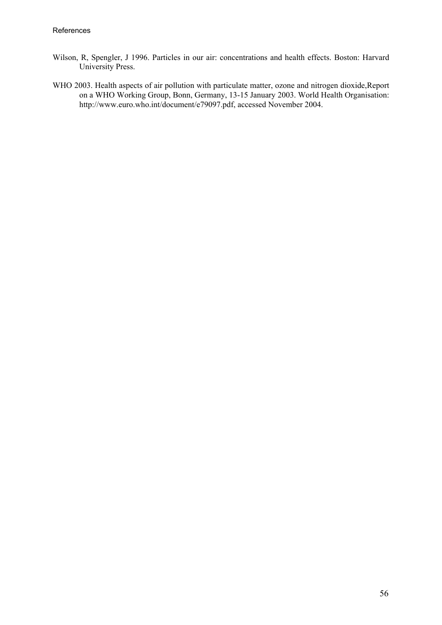- Wilson, R, Spengler, J 1996. Particles in our air: concentrations and health effects. Boston: Harvard University Press.
- WHO 2003. Health aspects of air pollution with particulate matter, ozone and nitrogen dioxide,Report on a WHO Working Group, Bonn, Germany, 13-15 January 2003. World Health Organisation: http://www.euro.who.int/document/e79097.pdf, accessed November 2004.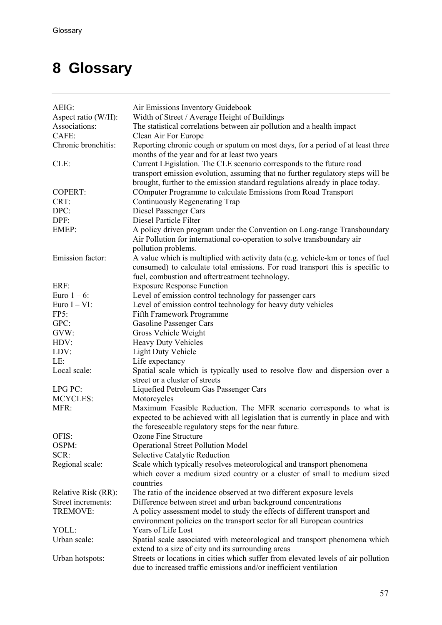# <span id="page-56-0"></span>**8 Glossary**

| AEIG:               | Air Emissions Inventory Guidebook                                                                                                                                                                                                        |  |
|---------------------|------------------------------------------------------------------------------------------------------------------------------------------------------------------------------------------------------------------------------------------|--|
| Aspect ratio (W/H): | Width of Street / Average Height of Buildings                                                                                                                                                                                            |  |
| Associations:       | The statistical correlations between air pollution and a health impact                                                                                                                                                                   |  |
| CAFE:               | Clean Air For Europe                                                                                                                                                                                                                     |  |
| Chronic bronchitis: | Reporting chronic cough or sputum on most days, for a period of at least three<br>months of the year and for at least two years                                                                                                          |  |
| CLE:                | Current LEgislation. The CLE scenario corresponds to the future road<br>transport emission evolution, assuming that no further regulatory steps will be<br>brought, further to the emission standard regulations already in place today. |  |
| <b>COPERT:</b>      | COmputer Programme to calculate Emissions from Road Transport                                                                                                                                                                            |  |
| CRT:                | Continuously Regenerating Trap                                                                                                                                                                                                           |  |
| DPC:                | Diesel Passenger Cars                                                                                                                                                                                                                    |  |
| DPF:                | Diesel Particle Filter                                                                                                                                                                                                                   |  |
| EMEP:               | A policy driven program under the Convention on Long-range Transboundary                                                                                                                                                                 |  |
|                     | Air Pollution for international co-operation to solve transboundary air                                                                                                                                                                  |  |
| Emission factor:    | pollution problems.                                                                                                                                                                                                                      |  |
|                     | A value which is multiplied with activity data (e.g. vehicle-km or tones of fuel<br>consumed) to calculate total emissions. For road transport this is specific to                                                                       |  |
|                     | fuel, combustion and aftertreatment technology.                                                                                                                                                                                          |  |
| ERF:                | <b>Exposure Response Function</b>                                                                                                                                                                                                        |  |
| Euro $1-6$ :        | Level of emission control technology for passenger cars                                                                                                                                                                                  |  |
| Euro $I - VI$ :     | Level of emission control technology for heavy duty vehicles                                                                                                                                                                             |  |
| FP5:                | Fifth Framework Programme                                                                                                                                                                                                                |  |
| GPC:                | Gasoline Passenger Cars                                                                                                                                                                                                                  |  |
| GVW:                | Gross Vehicle Weight                                                                                                                                                                                                                     |  |
| HDV:                | <b>Heavy Duty Vehicles</b>                                                                                                                                                                                                               |  |
| LDV:                | <b>Light Duty Vehicle</b>                                                                                                                                                                                                                |  |
| LE:                 | Life expectancy                                                                                                                                                                                                                          |  |
| Local scale:        | Spatial scale which is typically used to resolve flow and dispersion over a                                                                                                                                                              |  |
|                     | street or a cluster of streets                                                                                                                                                                                                           |  |
| LPG PC:             | Liquefied Petroleum Gas Passenger Cars                                                                                                                                                                                                   |  |
| <b>MCYCLES:</b>     | Motorcycles                                                                                                                                                                                                                              |  |
| MFR:                | Maximum Feasible Reduction. The MFR scenario corresponds to what is                                                                                                                                                                      |  |
|                     | expected to be achieved with all legislation that is currently in place and with                                                                                                                                                         |  |
|                     | the foreseeable regulatory steps for the near future.                                                                                                                                                                                    |  |
| OFIS:               | Ozone Fine Structure                                                                                                                                                                                                                     |  |
| OSPM:               | <b>Operational Street Pollution Model</b>                                                                                                                                                                                                |  |
| SCR:                | <b>Selective Catalytic Reduction</b>                                                                                                                                                                                                     |  |
|                     |                                                                                                                                                                                                                                          |  |
| Regional scale:     | Scale which typically resolves meteorological and transport phenomena<br>which cover a medium sized country or a cluster of small to medium sized<br>countries                                                                           |  |
| Relative Risk (RR): | The ratio of the incidence observed at two different exposure levels                                                                                                                                                                     |  |
| Street increments:  | Difference between street and urban background concentrations                                                                                                                                                                            |  |
|                     |                                                                                                                                                                                                                                          |  |
| TREMOVE:            | A policy assessment model to study the effects of different transport and                                                                                                                                                                |  |
|                     | environment policies on the transport sector for all European countries                                                                                                                                                                  |  |
| YOLL:               | Years of Life Lost                                                                                                                                                                                                                       |  |
| Urban scale:        | Spatial scale associated with meteorological and transport phenomena which                                                                                                                                                               |  |
|                     | extend to a size of city and its surrounding areas                                                                                                                                                                                       |  |
| Urban hotspots:     | Streets or locations in cities which suffer from elevated levels of air pollution<br>due to increased traffic emissions and/or inefficient ventilation                                                                                   |  |